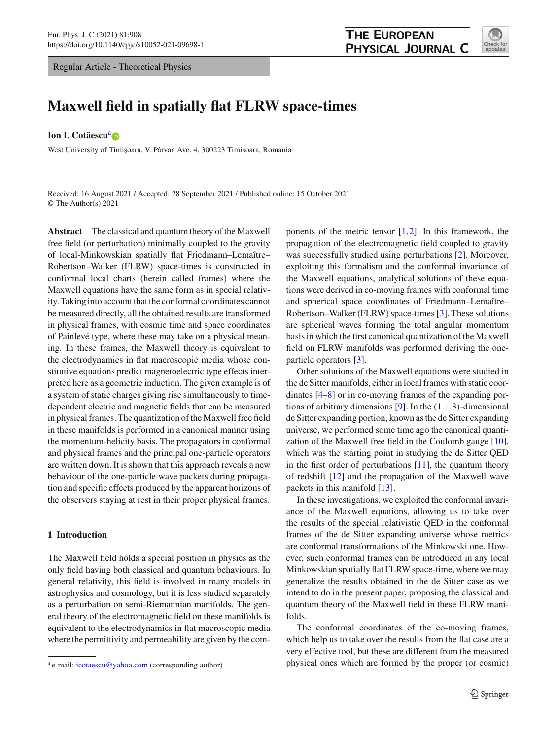Regular Article - Theoretical Physics



# **Maxwell field in spatially flat FLRW space-times**

## **Ion I. Cotăescu<sup>[a](http://orcid.org/0000-0002-1229-7855)</sup> D**

West University of Timisoara, V. Pârvan Ave. 4, 300223 Timisoara, Romania

Received: 16 August 2021 / Accepted: 28 September 2021 / Published online: 15 October 2021 © The Author(s) 2021

**Abstract** The classical and quantum theory of the Maxwell free field (or perturbation) minimally coupled to the gravity of local-Minkowskian spatially flat Friedmann–Lemaître– Robertson–Walker (FLRW) space-times is constructed in conformal local charts (herein called frames) where the Maxwell equations have the same form as in special relativity. Taking into account that the conformal coordinates cannot be measured directly, all the obtained results are transformed in physical frames, with cosmic time and space coordinates of Painlevé type, where these may take on a physical meaning. In these frames, the Maxwell theory is equivalent to the electrodynamics in flat macroscopic media whose constitutive equations predict magnetoelectric type effects interpreted here as a geometric induction. The given example is of a system of static charges giving rise simultaneously to timedependent electric and magnetic fields that can be measured in physical frames. The quantization of the Maxwell free field in these manifolds is performed in a canonical manner using the momentum-helicity basis. The propagators in conformal and physical frames and the principal one-particle operators are written down. It is shown that this approach reveals a new behaviour of the one-particle wave packets during propagation and specific effects produced by the apparent horizons of the observers staying at rest in their proper physical frames.

# **1 Introduction**

The Maxwell field holds a special position in physics as the only field having both classical and quantum behaviours. In general relativity, this field is involved in many models in astrophysics and cosmology, but it is less studied separately as a perturbation on semi-Riemannian manifolds. The general theory of the electromagnetic field on these manifolds is equivalent to the electrodynamics in flat macroscopic media where the permittivity and permeability are given by the components of the metric tensor  $[1,2]$  $[1,2]$  $[1,2]$ . In this framework, the propagation of the electromagnetic field coupled to gravity was successfully studied using perturbations [\[2\]](#page-18-1). Moreover, exploiting this formalism and the conformal invariance of the Maxwell equations, analytical solutions of these equations were derived in co-moving frames with conformal time and spherical space coordinates of Friedmann–Lemaître– Robertson–Walker (FLRW) space-times [\[3](#page-18-2)]. These solutions are spherical waves forming the total angular momentum basis in which the first canonical quantization of the Maxwell field on FLRW manifolds was performed deriving the oneparticle operators [\[3](#page-18-2)].

Other solutions of the Maxwell equations were studied in the de Sitter manifolds, either in local frames with static coordinates [\[4](#page-18-3)[–8](#page-18-4)] or in co-moving frames of the expanding por-tions of arbitrary dimensions [\[9\]](#page-18-5). In the  $(1 + 3)$ -dimensional de Sitter expanding portion, known as the de Sitter expanding universe, we performed some time ago the canonical quantization of the Maxwell free field in the Coulomb gauge [\[10](#page-18-6)], which was the starting point in studying the de Sitter QED in the first order of perturbations  $[11]$  $[11]$ , the quantum theory of redshift [\[12](#page-18-8)] and the propagation of the Maxwell wave packets in this manifold [\[13](#page-18-9)].

In these investigations, we exploited the conformal invariance of the Maxwell equations, allowing us to take over the results of the special relativistic QED in the conformal frames of the de Sitter expanding universe whose metrics are conformal transformations of the Minkowski one. However, such conformal frames can be introduced in any local Minkowskian spatially flat FLRW space-time, where we may generalize the results obtained in the de Sitter case as we intend to do in the present paper, proposing the classical and quantum theory of the Maxwell field in these FLRW manifolds.

The conformal coordinates of the co-moving frames, which help us to take over the results from the flat case are a very effective tool, but these are different from the measured physical ones which are formed by the proper (or cosmic)

<sup>&</sup>lt;sup>a</sup> e-mail: [icotaescu@yahoo.com](mailto:icotaescu@yahoo.com) (corresponding author)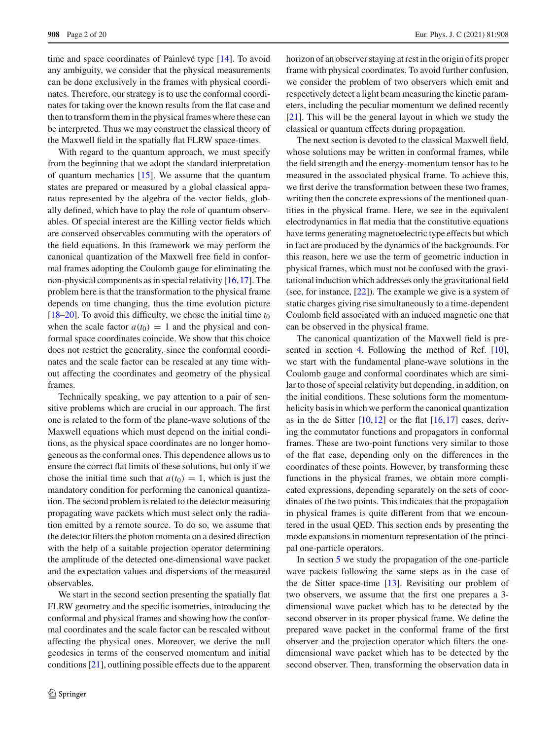time and space coordinates of Painlevé type [\[14](#page-18-10)]. To avoid any ambiguity, we consider that the physical measurements can be done exclusively in the frames with physical coordinates. Therefore, our strategy is to use the conformal coordinates for taking over the known results from the flat case and then to transform them in the physical frames where these can be interpreted. Thus we may construct the classical theory of the Maxwell field in the spatially flat FLRW space-times.

With regard to the quantum approach, we must specify from the beginning that we adopt the standard interpretation of quantum mechanics [\[15\]](#page-18-11). We assume that the quantum states are prepared or measured by a global classical apparatus represented by the algebra of the vector fields, globally defined, which have to play the role of quantum observables. Of special interest are the Killing vector fields which are conserved observables commuting with the operators of the field equations. In this framework we may perform the canonical quantization of the Maxwell free field in conformal frames adopting the Coulomb gauge for eliminating the non-physical components as in special relativity [\[16](#page-19-0)[,17](#page-19-1)]. The problem here is that the transformation to the physical frame depends on time changing, thus the time evolution picture [ $18-20$ ]. To avoid this difficulty, we chose the initial time  $t_0$ when the scale factor  $a(t_0) = 1$  and the physical and conformal space coordinates coincide. We show that this choice does not restrict the generality, since the conformal coordinates and the scale factor can be rescaled at any time without affecting the coordinates and geometry of the physical frames.

Technically speaking, we pay attention to a pair of sensitive problems which are crucial in our approach. The first one is related to the form of the plane-wave solutions of the Maxwell equations which must depend on the initial conditions, as the physical space coordinates are no longer homogeneous as the conformal ones. This dependence allows us to ensure the correct flat limits of these solutions, but only if we chose the initial time such that  $a(t_0) = 1$ , which is just the mandatory condition for performing the canonical quantization. The second problem is related to the detector measuring propagating wave packets which must select only the radiation emitted by a remote source. To do so, we assume that the detector filters the photon momenta on a desired direction with the help of a suitable projection operator determining the amplitude of the detected one-dimensional wave packet and the expectation values and dispersions of the measured observables.

We start in the second section presenting the spatially flat FLRW geometry and the specific isometries, introducing the conformal and physical frames and showing how the conformal coordinates and the scale factor can be rescaled without affecting the physical ones. Moreover, we derive the null geodesics in terms of the conserved momentum and initial conditions [\[21\]](#page-19-4), outlining possible effects due to the apparent horizon of an observer staying at rest in the origin of its proper frame with physical coordinates. To avoid further confusion, we consider the problem of two observers which emit and respectively detect a light beam measuring the kinetic parameters, including the peculiar momentum we defined recently [\[21](#page-19-4)]. This will be the general layout in which we study the classical or quantum effects during propagation.

The next section is devoted to the classical Maxwell field, whose solutions may be written in conformal frames, while the field strength and the energy-momentum tensor has to be measured in the associated physical frame. To achieve this, we first derive the transformation between these two frames, writing then the concrete expressions of the mentioned quantities in the physical frame. Here, we see in the equivalent electrodynamics in flat media that the constitutive equations have terms generating magnetoelectric type effects but which in fact are produced by the dynamics of the backgrounds. For this reason, here we use the term of geometric induction in physical frames, which must not be confused with the gravitational induction which addresses only the gravitational field (see, for instance, [\[22\]](#page-19-5)). The example we give is a system of static charges giving rise simultaneously to a time-dependent Coulomb field associated with an induced magnetic one that can be observed in the physical frame.

The canonical quantization of the Maxwell field is presented in section [4.](#page-8-0) Following the method of Ref. [\[10](#page-18-6)], we start with the fundamental plane-wave solutions in the Coulomb gauge and conformal coordinates which are similar to those of special relativity but depending, in addition, on the initial conditions. These solutions form the momentumhelicity basis in which we perform the canonical quantization as in the de Sitter  $[10, 12]$  $[10, 12]$  $[10, 12]$  or the flat  $[16, 17]$  $[16, 17]$  $[16, 17]$  cases, deriving the commutator functions and propagators in conformal frames. These are two-point functions very similar to those of the flat case, depending only on the differences in the coordinates of these points. However, by transforming these functions in the physical frames, we obtain more complicated expressions, depending separately on the sets of coordinates of the two points. This indicates that the propagation in physical frames is quite different from that we encountered in the usual QED. This section ends by presenting the mode expansions in momentum representation of the principal one-particle operators.

In section [5](#page-11-0) we study the propagation of the one-particle wave packets following the same steps as in the case of the de Sitter space-time [\[13](#page-18-9)]. Revisiting our problem of two observers, we assume that the first one prepares a 3 dimensional wave packet which has to be detected by the second observer in its proper physical frame. We define the prepared wave packet in the conformal frame of the first observer and the projection operator which filters the onedimensional wave packet which has to be detected by the second observer. Then, transforming the observation data in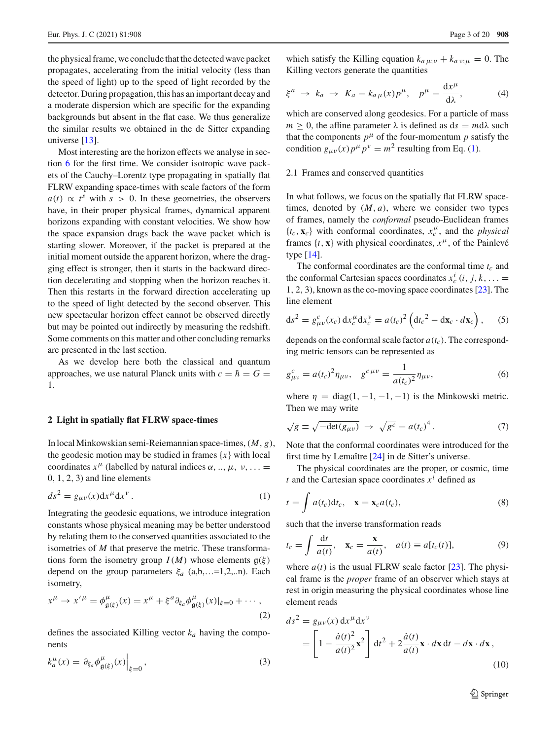the physical frame, we conclude that the detected wave packet propagates, accelerating from the initial velocity (less than the speed of light) up to the speed of light recorded by the detector. During propagation, this has an important decay and a moderate dispersion which are specific for the expanding backgrounds but absent in the flat case. We thus generalize the similar results we obtained in the de Sitter expanding universe [\[13](#page-18-9)].

Most interesting are the horizon effects we analyse in section [6](#page-14-0) for the first time. We consider isotropic wave packets of the Cauchy–Lorentz type propagating in spatially flat FLRW expanding space-times with scale factors of the form  $a(t) \propto t^s$  with  $s > 0$ . In these geometries, the observers have, in their proper physical frames, dynamical apparent horizons expanding with constant velocities. We show how the space expansion drags back the wave packet which is starting slower. Moreover, if the packet is prepared at the initial moment outside the apparent horizon, where the dragging effect is stronger, then it starts in the backward direction decelerating and stopping when the horizon reaches it. Then this restarts in the forward direction accelerating up to the speed of light detected by the second observer. This new spectacular horizon effect cannot be observed directly but may be pointed out indirectly by measuring the redshift. Some comments on this matter and other concluding remarks are presented in the last section.

As we develop here both the classical and quantum approaches, we use natural Planck units with  $c = \hbar = G$ 1.

## **2 Light in spatially flat FLRW space-times**

In local Minkowskian semi-Reiemannian space-times,(*M*, *g*), the geodesic motion may be studied in frames  $\{x\}$  with local coordinates  $x^{\mu}$  (labelled by natural indices  $\alpha$ , ...,  $\mu$ ,  $\nu$ , ... =  $0, 1, 2, 3$  and line elements

<span id="page-2-0"></span>
$$
ds^2 = g_{\mu\nu}(x)dx^{\mu}dx^{\nu}.
$$
 (1)

Integrating the geodesic equations, we introduce integration constants whose physical meaning may be better understood by relating them to the conserved quantities associated to the isometries of *M* that preserve the metric. These transformations form the isometry group  $I(M)$  whose elements  $g(\xi)$ depend on the group parameters  $\xi_a$  (a,b,...=1,2,..n). Each isometry,

<span id="page-2-4"></span>
$$
x^{\mu} \to x'^{\mu} = \phi^{\mu}_{\mathfrak{g}(\xi)}(x) = x^{\mu} + \xi^{a} \partial_{\xi_{a}} \phi^{\mu}_{\mathfrak{g}(\xi)}(x)|_{\xi=0} + \cdots,
$$
\n(2)

defines the associated Killing vector *ka* having the components

<span id="page-2-5"></span>
$$
k_a^{\mu}(x) = \partial_{\xi_a} \phi_{\mathfrak{g}(\xi)}^{\mu}(x) \Big|_{\xi=0}, \qquad (3)
$$

which satisfy the Killing equation  $k_{a\mu;\nu} + k_{a\nu;\mu} = 0$ . The Killing vectors generate the quantities

$$
\xi^a \to k_a \to K_a = k_{a\,\mu}(x) p^{\mu}, \quad p^{\mu} = \frac{\mathrm{d} x^{\mu}}{\mathrm{d} \lambda}, \tag{4}
$$

which are conserved along geodesics. For a particle of mass  $m \geq 0$ , the affine parameter  $\lambda$  is defined as  $ds = m d\lambda$  such that the components  $p^{\mu}$  of the four-momentum p satisfy the condition  $g_{\mu\nu}(x)p^{\mu}p^{\nu} = m^2$  resulting from Eq. [\(1\)](#page-2-0).

# 2.1 Frames and conserved quantities

In what follows, we focus on the spatially flat FLRW spacetimes, denoted by  $(M, a)$ , where we consider two types of frames, namely the *conformal* pseudo-Euclidean frames  ${t_c, \mathbf{x}_c}$  with conformal coordinates,  $x_c^{\mu}$ , and the *physical* frames  $\{t, \mathbf{x}\}\$  with physical coordinates,  $x^{\mu}$ , of the Painlevé type [\[14](#page-18-10)].

The conformal coordinates are the conformal time  $t_c$  and the conformal Cartesian spaces coordinates  $x_c^i$  (*i*, *j*, *k*,... = 1, 2, 3), known as the co-moving space coordinates [\[23](#page-19-6)]. The line element

$$
ds^{2} = g_{\mu\nu}^{c}(x_{c}) dx_{c}^{\mu} dx_{c}^{\nu} = a(t_{c})^{2} \left( dt_{c}^{2} - dx_{c} \cdot d x_{c} \right), \quad (5)
$$

depends on the conformal scale factor  $a(t_c)$ . The corresponding metric tensors can be represented as

$$
g_{\mu\nu}^c = a(t_c)^2 \eta_{\mu\nu}, \quad g^{c \mu\nu} = \frac{1}{a(t_c)^2} \eta_{\mu\nu}, \tag{6}
$$

where  $\eta = \text{diag}(1, -1, -1, -1)$  is the Minkowski metric. Then we may write

<span id="page-2-3"></span>
$$
\sqrt{g} \equiv \sqrt{-\det(g_{\mu\nu})} \rightarrow \sqrt{g^c} = a(t_c)^4. \tag{7}
$$

Note that the conformal coordinates were introduced for the first time by Lemaître [\[24\]](#page-19-7) in de Sitter's universe.

The physical coordinates are the proper, or cosmic, time *t* and the Cartesian space coordinates  $x^i$  defined as

$$
t = \int a(t_c) dt_c, \quad \mathbf{x} = \mathbf{x}_c a(t_c), \tag{8}
$$

such that the inverse transformation reads

<span id="page-2-2"></span>
$$
t_c = \int \frac{\mathrm{d}t}{a(t)}, \quad \mathbf{x}_c = \frac{\mathbf{x}}{a(t)}, \quad a(t) \equiv a[t_c(t)], \tag{9}
$$

where  $a(t)$  is the usual FLRW scale factor [\[23\]](#page-19-6). The physical frame is the *proper* frame of an observer which stays at rest in origin measuring the physical coordinates whose line element reads

<span id="page-2-1"></span>
$$
ds^{2} = g_{\mu\nu}(x) dx^{\mu} dx^{\nu}
$$
  
= 
$$
\left[1 - \frac{\dot{a}(t)^{2}}{a(t)^{2}} \mathbf{x}^{2}\right] dt^{2} + 2 \frac{\dot{a}(t)}{a(t)} \mathbf{x} \cdot d\mathbf{x} dt - d\mathbf{x} \cdot d\mathbf{x},
$$
 (10)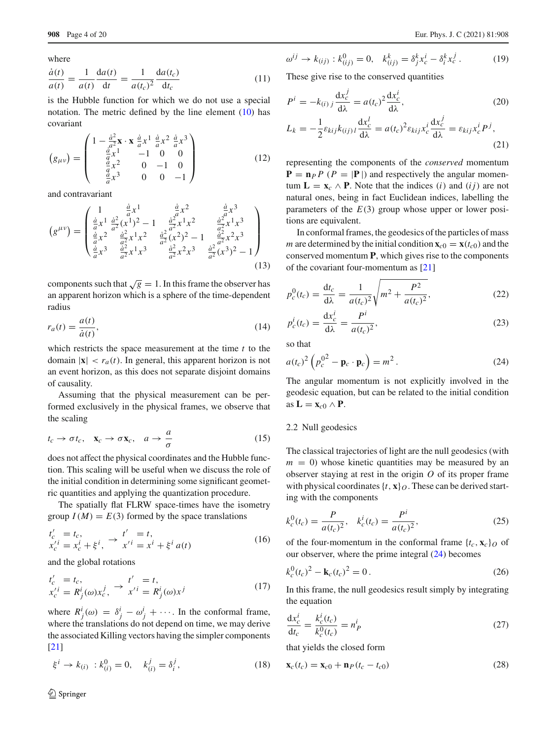where

$$
\frac{\dot{a}(t)}{a(t)} = \frac{1}{a(t)} \frac{\mathrm{d}a(t)}{\mathrm{d}t} = \frac{1}{a(t_c)^2} \frac{\mathrm{d}a(t_c)}{\mathrm{d}t_c} \tag{11}
$$

is the Hubble function for which we do not use a special notation. The metric defined by the line element [\(10\)](#page-2-1) has covariant

<span id="page-3-3"></span>
$$
(g_{\mu\nu}) = \begin{pmatrix} 1 - \frac{\dot{a}^2}{a^2} \mathbf{x} \cdot \mathbf{x} \frac{\dot{a}}{a} x^1 \frac{\dot{a}}{a} x^2 \frac{\dot{a}}{a} x^3 \\ \frac{\dot{a}}{a} x^1 & -1 & 0 & 0 \\ \frac{\dot{a}}{a} x^2 & 0 & -1 & 0 \\ \frac{\dot{a}}{a} x^3 & 0 & 0 & -1 \end{pmatrix}
$$
(12)

and contravariant

$$
(g^{\mu\nu}) = \begin{pmatrix} 1 & \frac{\dot{a}}{a}x^1 & \frac{\dot{a}}{a}x^2 & \frac{\dot{a}}{a}x^3 \\ \frac{\dot{a}}{a}x^1 & \frac{\dot{a}^2}{a^2}(x^1)^2 - 1 & \frac{\dot{a}^2}{a^2}x^1x^2 & \frac{\dot{a}^2}{a^2}x^1x^3 \\ \frac{\dot{a}}{a}x^2 & \frac{\dot{a}^2}{a^2}x^1x^2 & \frac{\dot{a}^2}{a^2}(x^2)^2 - 1 & \frac{\dot{a}^2}{a^2}x^2x^3 \\ \frac{\dot{a}}{a}x^3 & \frac{\dot{a}^2}{a^2}x^1x^3 & \frac{\dot{a}^2}{a^2}x^2x^3 & \frac{\dot{a}^2}{a^2}(x^3)^2 - 1 \end{pmatrix}
$$
\n(13)

components such that  $\sqrt{g} = 1$ . In this frame the observer has an apparent horizon which is a sphere of the time-dependent radius

$$
r_a(t) = \frac{a(t)}{\dot{a}(t)},\tag{14}
$$

which restricts the space measurement at the time *t* to the domain  $|\mathbf{x}| < r_a(t)$ . In general, this apparent horizon is not an event horizon, as this does not separate disjoint domains of causality.

Assuming that the physical measurement can be performed exclusively in the physical frames, we observe that the scaling

<span id="page-3-4"></span>
$$
t_c \to \sigma t_c, \quad \mathbf{x}_c \to \sigma \mathbf{x}_c, \quad a \to \frac{a}{\sigma}
$$
 (15)

does not affect the physical coordinates and the Hubble function. This scaling will be useful when we discuss the role of the initial condition in determining some significant geometric quantities and applying the quantization procedure.

The spatially flat FLRW space-times have the isometry group  $I(M) = E(3)$  formed by the space translations

<span id="page-3-1"></span>
$$
t'_{c} = t_{c}, x'_{c} = x_{c}^{i} + \xi^{i}, \rightarrow t' = t, x'^{i} = x^{i} + \xi^{i} a(t)
$$
\n(16)

and the global rotations

$$
t'_{c} = t_{c},
$$
  
\n
$$
x'_{c} = R^{i}_{j}(\omega)x^{j}_{c}, \rightarrow t' = R^{i}_{j}(\omega)x^{j}
$$
 (17)

where  $R^i_j(\omega) = \delta^i_j - \omega^i_j + \cdots$ . In the conformal frame, where the translations do not depend on time, we may derive the associated Killing vectors having the simpler components [\[21](#page-19-4)]

$$
\xi^{i} \to k_{(i)} : k_{(i)}^{0} = 0, \quad k_{(i)}^{j} = \delta_{i}^{j}, \tag{18}
$$

$$
\omega^{ij} \to k_{(ij)} : k_{(ij)}^0 = 0, \quad k_{(ij)}^k = \delta_j^k x_c^i - \delta_i^k x_c^j \,. \tag{19}
$$

These give rise to the conserved quantities

$$
P^{i} = -k_{(i) j} \frac{dx_{c}^{j}}{d\lambda} = a(t_{c})^{2} \frac{dx_{c}^{i}}{d\lambda},
$$
\n
$$
L_{k} = -\frac{1}{2} \varepsilon_{kij} k_{(ij) l} \frac{dx_{c}^{l}}{d\lambda} = a(t_{c})^{2} \varepsilon_{kij} x_{c}^{i} \frac{dx_{c}^{j}}{d\lambda} = \varepsilon_{kij} x_{c}^{i} P^{j},
$$
\n(20)

$$
(21)
$$

representing the components of the *conserved* momentum  $P = n_P P (P = |P|)$  and respectively the angular momentum  $\mathbf{L} = \mathbf{x}_c \wedge \mathbf{P}$ . Note that the indices (*i*) and (*i j*) are not natural ones, being in fact Euclidean indices, labelling the parameters of the  $E(3)$  group whose upper or lower positions are equivalent.

In conformal frames, the geodesics of the particles of mass *m* are determined by the initial condition  $\mathbf{x}_{c0} = \mathbf{x}(t_{c0})$  and the conserved momentum **P**, which gives rise to the components of the covariant four-momentum as [\[21](#page-19-4)]

$$
p_c^0(t_c) = \frac{dt_c}{d\lambda} = \frac{1}{a(t_c)^2} \sqrt{m^2 + \frac{P^2}{a(t_c)^2}},
$$
\n(22)

$$
p_c^i(t_c) = \frac{\mathrm{d}x_c^i}{\mathrm{d}\lambda} = \frac{P^i}{a(t_c)^2},\tag{23}
$$

so that

<span id="page-3-0"></span>
$$
a(t_c)^2 \left( p_c^{02} - \mathbf{p}_c \cdot \mathbf{p}_c \right) = m^2.
$$
 (24)

The angular momentum is not explicitly involved in the geodesic equation, but can be related to the initial condition as  $\mathbf{L} = \mathbf{x}_{c0} \wedge \mathbf{P}$ .

## 2.2 Null geodesics

The classical trajectories of light are the null geodesics (with  $m = 0$ ) whose kinetic quantities may be measured by an observer staying at rest in the origin *O* of its proper frame with physical coordinates  $\{t, x\}_O$ . These can be derived starting with the components

$$
k_c^0(t_c) = \frac{P}{a(t_c)^2}, \quad k_c^i(t_c) = \frac{P^i}{a(t_c)^2},\tag{25}
$$

of the four-momentum in the conformal frame  $\{t_c, \mathbf{x}_c\}_O$  of our observer, where the prime integral  $(24)$  becomes

$$
k_c^0 (t_c)^2 - \mathbf{k}_c (t_c)^2 = 0.
$$
 (26)

In this frame, the null geodesics result simply by integrating the equation

$$
\frac{dx_c^i}{dt_c} = \frac{k_c^i(t_c)}{k_c^0(t_c)} = n_P^i
$$
\n(27)

that yields the closed form

<span id="page-3-2"></span>
$$
\mathbf{x}_c(t_c) = \mathbf{x}_{c0} + \mathbf{n}_P(t_c - t_{c0})
$$
\n(28)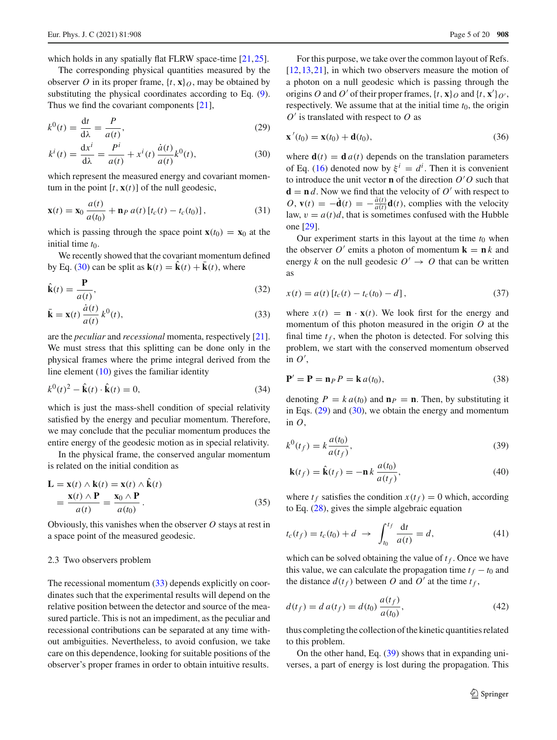which holds in any spatially flat FLRW space-time [\[21](#page-19-4)[,25](#page-19-8)].

The corresponding physical quantities measured by the observer *O* in its proper frame,  $\{t, \mathbf{x}\}\$ *n*, may be obtained by substituting the physical coordinates according to Eq. [\(9\)](#page-2-2). Thus we find the covariant components [\[21](#page-19-4)],

<span id="page-4-0"></span>
$$
k^{0}(t) = \frac{\mathrm{d}t}{\mathrm{d}\lambda} = \frac{P}{a(t)},\tag{29}
$$

$$
k^{i}(t) = \frac{dx^{i}}{d\lambda} = \frac{P^{i}}{a(t)} + x^{i}(t)\frac{\dot{a}(t)}{a(t)}k^{0}(t),
$$
\n(30)

which represent the measured energy and covariant momentum in the point  $[t, \mathbf{x}(t)]$  of the null geodesic,

$$
\mathbf{x}(t) = \mathbf{x}_0 \frac{a(t)}{a(t_0)} + \mathbf{n}_P a(t) \left[ t_c(t) - t_c(t_0) \right],\tag{31}
$$

which is passing through the space point  $\mathbf{x}(t_0) = \mathbf{x}_0$  at the initial time  $t_0$ .

We recently showed that the covariant momentum defined by Eq. [\(30\)](#page-4-0) can be split as  $\mathbf{k}(t) = \hat{\mathbf{k}}(t) + \bar{\mathbf{k}}(t)$ , where

<span id="page-4-1"></span>
$$
\hat{\mathbf{k}}(t) = \frac{\mathbf{P}}{a(t)},
$$
\n(32)

$$
\bar{\mathbf{k}} = \mathbf{x}(t) \frac{\dot{a}(t)}{a(t)} k^0(t),
$$
\n(33)

are the *peculiar* and *recessional* momenta, respectively [\[21](#page-19-4)]. We must stress that this splitting can be done only in the physical frames where the prime integral derived from the line element [\(10\)](#page-2-1) gives the familiar identity

$$
k^{0}(t)^{2} - \hat{\mathbf{k}}(t) \cdot \hat{\mathbf{k}}(t) = 0,
$$
\n(34)

which is just the mass-shell condition of special relativity satisfied by the energy and peculiar momentum. Therefore, we may conclude that the peculiar momentum produces the entire energy of the geodesic motion as in special relativity.

In the physical frame, the conserved angular momentum is related on the initial condition as

$$
\mathbf{L} = \mathbf{x}(t) \wedge \mathbf{k}(t) = \mathbf{x}(t) \wedge \mathbf{k}(t)
$$
  
= 
$$
\frac{\mathbf{x}(t) \wedge \mathbf{P}}{a(t)} = \frac{\mathbf{x}_0 \wedge \mathbf{P}}{a(t_0)}.
$$
 (35)

Obviously, this vanishes when the observer *O* stays at rest in a space point of the measured geodesic.

## <span id="page-4-5"></span>2.3 Two observers problem

The recessional momentum [\(33\)](#page-4-1) depends explicitly on coordinates such that the experimental results will depend on the relative position between the detector and source of the measured particle. This is not an impediment, as the peculiar and recessional contributions can be separated at any time without ambiguities. Nevertheless, to avoid confusion, we take care on this dependence, looking for suitable positions of the observer's proper frames in order to obtain intuitive results.

For this purpose, we take over the common layout of Refs.  $[12,13,21]$  $[12,13,21]$  $[12,13,21]$  $[12,13,21]$ , in which two observers measure the motion of a photon on a null geodesic which is passing through the origins *O* and *O'* of their proper frames,  $\{t, \mathbf{x}\}_O$  and  $\{t, \mathbf{x}'\}_O$ , respectively. We assume that at the initial time  $t_0$ , the origin *O* is translated with respect to *O* as

$$
\mathbf{x}'(t_0) = \mathbf{x}(t_0) + \mathbf{d}(t_0),
$$
\n(36)

where  $\mathbf{d}(t) = \mathbf{d} a(t)$  depends on the translation parameters of Eq. [\(16\)](#page-3-1) denoted now by  $\xi^{i} = d^{i}$ . Then it is convenient to introduce the unit vector **n** of the direction  $O'O$  such that  $\mathbf{d} = \mathbf{n} d$ . Now we find that the velocity of  $O'$  with respect to  $O$ ,  $\mathbf{v}(t) = -\dot{\mathbf{d}}(t) = -\frac{\dot{a}(t)}{a(t)}\mathbf{d}(t)$ , complies with the velocity law,  $v = a(t)d$ , that is sometimes confused with the Hubble one [\[29](#page-19-9)].

Our experiment starts in this layout at the time  $t_0$  when the observer  $O'$  emits a photon of momentum  $\mathbf{k} = \mathbf{n} k$  and energy *k* on the null geodesic  $O' \rightarrow O$  that can be written as

<span id="page-4-3"></span>
$$
x(t) = a(t) [t_c(t) - t_c(t_0) - d],
$$
\n(37)

where  $x(t) = \mathbf{n} \cdot \mathbf{x}(t)$ . We look first for the energy and momentum of this photon measured in the origin *O* at the final time  $t_f$ , when the photon is detected. For solving this problem, we start with the conserved momentum observed in  $O'$ ,

$$
\mathbf{P}' = \mathbf{P} = \mathbf{n}_P P = \mathbf{k} a(t_0),\tag{38}
$$

denoting  $P = k a(t_0)$  and  $\mathbf{n}_P = \mathbf{n}$ . Then, by substituting it in Eqs.  $(29)$  and  $(30)$ , we obtain the energy and momentum in *O*,

<span id="page-4-2"></span>
$$
k^{0}(t_{f}) = k \frac{a(t_{0})}{a(t_{f})},
$$
\n(39)

$$
\mathbf{k}(t_f) = \hat{\mathbf{k}}(t_f) = -\mathbf{n}k \frac{a(t_0)}{a(t_f)},
$$
\n(40)

where  $t_f$  satisfies the condition  $x(t_f) = 0$  which, according to Eq. [\(28\)](#page-3-2), gives the simple algebraic equation

<span id="page-4-4"></span>
$$
t_c(t_f) = t_c(t_0) + d \to \int_{t_0}^{t_f} \frac{dt}{a(t)} = d,
$$
 (41)

which can be solved obtaining the value of  $t_f$ . Once we have this value, we can calculate the propagation time  $t_f - t_0$  and the distance  $d(t_f)$  between O and O' at the time  $t_f$ ,

$$
d(t_f) = d a(t_f) = d(t_0) \frac{a(t_f)}{a(t_0)},
$$
\n(42)

thus completing the collection of the kinetic quantities related to this problem.

On the other hand, Eq. [\(39\)](#page-4-2) shows that in expanding universes, a part of energy is lost during the propagation. This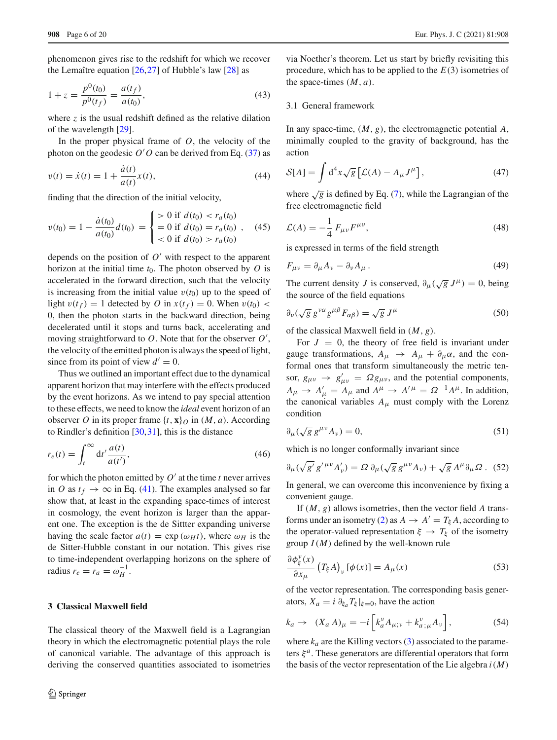phenomenon gives rise to the redshift for which we recover the Lemaître equation  $[26,27]$  $[26,27]$  $[26,27]$  $[26,27]$  of Hubble's law  $[28]$  as

<span id="page-5-4"></span>
$$
1 + z = \frac{p^{0}(t_0)}{p^{0}(t_f)} = \frac{a(t_f)}{a(t_0)},
$$
\n(43)

where  $\zeta$  is the usual redshift defined as the relative dilation of the wavelength [\[29\]](#page-19-9).

In the proper physical frame of  $O$ , the velocity of the photon on the geodesic  $O'O$  can be derived from Eq. [\(37\)](#page-4-3) as

<span id="page-5-5"></span>
$$
v(t) = \dot{x}(t) = 1 + \frac{\dot{a}(t)}{a(t)}x(t),
$$
\n(44)

finding that the direction of the initial velocity,

<span id="page-5-7"></span>
$$
v(t_0) = 1 - \frac{\dot{a}(t_0)}{a(t_0)} d(t_0) = \begin{cases} > 0 \text{ if } d(t_0) < r_a(t_0) \\ = 0 \text{ if } d(t_0) = r_a(t_0) \\ < 0 \text{ if } d(t_0) > r_a(t_0) \end{cases} \tag{45}
$$

depends on the position of  $O'$  with respect to the apparent horizon at the initial time  $t_0$ . The photon observed by  $O$  is accelerated in the forward direction, such that the velocity is increasing from the initial value  $v(t_0)$  up to the speed of light  $v(t_f) = 1$  detected by *O* in  $x(t_f) = 0$ . When  $v(t_0)$  < 0, then the photon starts in the backward direction, being decelerated until it stops and turns back, accelerating and moving straightforward to *O*. Note that for the observer *O* , the velocity of the emitted photon is always the speed of light, since from its point of view  $d' = 0$ .

Thus we outlined an important effect due to the dynamical apparent horizon that may interfere with the effects produced by the event horizons. As we intend to pay special attention to these effects, we need to know the *ideal* event horizon of an observer *O* in its proper frame  $\{t, \mathbf{x}\}\$  in  $(M, a)$ . According to Rindler's definition  $[30,31]$  $[30,31]$  $[30,31]$  $[30,31]$ , this is the distance

<span id="page-5-6"></span>
$$
r_e(t) = \int_t^{\infty} dt' \frac{a(t)}{a(t')},
$$
\n(46)

for which the photon emitted by  $O'$  at the time *t* never arrives in *O* as  $t_f \rightarrow \infty$  in Eq. [\(41\)](#page-4-4). The examples analysed so far show that, at least in the expanding space-times of interest in cosmology, the event horizon is larger than the apparent one. The exception is the de Sittter expanding universe having the scale factor  $a(t) = \exp(\omega_H t)$ , where  $\omega_H$  is the de Sitter-Hubble constant in our notation. This gives rise to time-independent overlapping horizons on the sphere of radius  $r_e = r_a = \omega_H^{-1}$ .

# **3 Classical Maxwell field**

The classical theory of the Maxwell field is a Lagrangian theory in which the electromagnetic potential plays the role of canonical variable. The advantage of this approach is deriving the conserved quantities associated to isometries

via Noether's theorem. Let us start by briefly revisiting this procedure, which has to be applied to the *E*(3) isometries of the space-times  $(M, a)$ .

## 3.1 General framework

In any space-time, (*M*, *g*), the electromagnetic potential *A*, minimally coupled to the gravity of background, has the action

$$
S[A] = \int d^4x \sqrt{g} \left[ \mathcal{L}(A) - A_{\mu} J^{\mu} \right], \tag{47}
$$

where  $\sqrt{g}$  is defined by Eq. [\(7\)](#page-2-3), while the Lagrangian of the free electromagnetic field

$$
\mathcal{L}(A) = -\frac{1}{4} F_{\mu\nu} F^{\mu\nu},\qquad(48)
$$

is expressed in terms of the field strength

<span id="page-5-3"></span>
$$
F_{\mu\nu} = \partial_{\mu}A_{\nu} - \partial_{\nu}A_{\mu} \,. \tag{49}
$$

The current density *J* is conserved,  $\partial_{\mu}(\sqrt{g} J^{\mu}) = 0$ , being the source of the field equations

<span id="page-5-0"></span>
$$
\partial_{\nu}(\sqrt{g}\,g^{\nu\alpha}g^{\mu\beta}F_{\alpha\beta}) = \sqrt{g}\,J^{\mu} \tag{50}
$$

of the classical Maxwell field in (*M*, *g*).

For  $J = 0$ , the theory of free field is invariant under gauge transformations,  $A_{\mu} \rightarrow A_{\mu} + \partial_{\mu} \alpha$ , and the conformal ones that transform simultaneously the metric tensor,  $g_{\mu\nu} \rightarrow g'_{\mu\nu} = \Omega g_{\mu\nu}$ , and the potential components,  $A_{\mu} \rightarrow A'_{\mu} = A_{\mu}$  and  $A^{\mu} \rightarrow A'^{\mu} = \Omega^{-1} A^{\mu}$ . In addition, the canonical variables  $A_{\mu}$  must comply with the Lorenz condition

<span id="page-5-1"></span>
$$
\partial_{\mu}(\sqrt{g}\,g^{\mu\nu}A_{\nu})=0,\tag{51}
$$

which is no longer conformally invariant since

$$
\partial_{\mu}(\sqrt{g'}\,g'^{\mu\nu}A'_{\nu}) = \Omega\,\partial_{\mu}(\sqrt{g}\,g^{\mu\nu}A_{\nu}) + \sqrt{g}\,A^{\mu}\partial_{\mu}\Omega\,. \tag{52}
$$

In general, we can overcome this inconvenience by fixing a convenient gauge.

If (*M*, *g*) allows isometries, then the vector field *A* trans-forms under an isometry [\(2\)](#page-2-4) as  $A \rightarrow A' = T_{\xi} A$ , according to the operator-valued representation  $\xi \to T_{\xi}$  of the isometry group  $I(M)$  defined by the well-known rule

$$
\frac{\partial \phi_{\xi}^{\nu}(x)}{\partial x_{\mu}} \left( T_{\xi} A \right)_{\nu} [\phi(x)] = A_{\mu}(x) \tag{53}
$$

of the vector representation. The corresponding basis generators,  $X_a = i \partial_{\xi_a} T_{\xi}|_{\xi=0}$ , have the action

<span id="page-5-2"></span>
$$
k_a \to (X_a A)_\mu = -i \left[ k_a^\nu A_{\mu; \nu} + k_{a; \mu}^\nu A_\nu \right],
$$
 (54)

where  $k_a$  are the Killing vectors [\(3\)](#page-2-5) associated to the parameters  $\xi^a$ . These generators are differential operators that form the basis of the vector representation of the Lie algebra  $i(M)$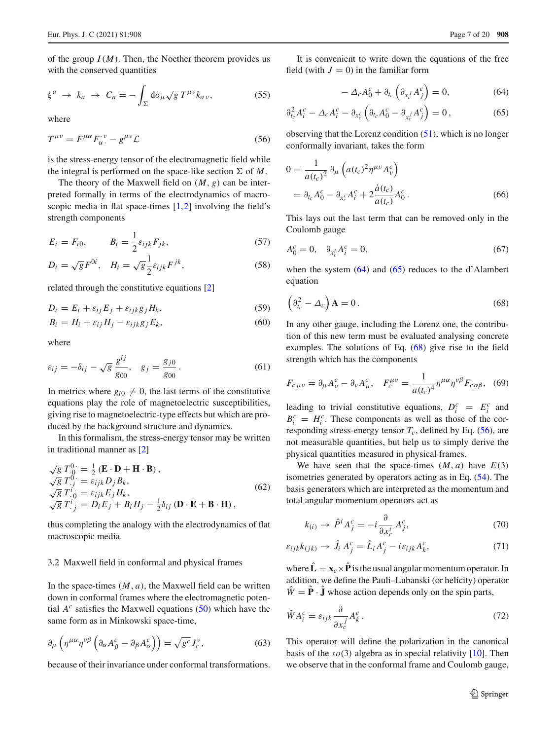of the group  $I(M)$ . Then, the Noether theorem provides us with the conserved quantities

<span id="page-6-3"></span>
$$
\xi^a \to k_a \to C_a = -\int_{\Sigma} d\sigma_{\mu} \sqrt{g} \, T^{\mu\nu} k_{a\nu},\tag{55}
$$

where

<span id="page-6-2"></span>
$$
T^{\mu\nu} = F^{\mu\alpha} F_{\alpha}^{\ \nu} - g^{\mu\nu} \mathcal{L}
$$
 (56)

is the stress-energy tensor of the electromagnetic field while the integral is performed on the space-like section  $\Sigma$  of M.

The theory of the Maxwell field on  $(M, g)$  can be interpreted formally in terms of the electrodynamics of macroscopic media in flat space-times  $[1,2]$  $[1,2]$  $[1,2]$  involving the field's strength components

$$
E_i = F_{i0}, \qquad B_i = \frac{1}{2} \varepsilon_{ijk} F_{jk}, \qquad (57)
$$

$$
D_i = \sqrt{g} F^{0i}, \quad H_i = \sqrt{g} \frac{1}{2} \varepsilon_{ijk} F^{jk}, \tag{58}
$$

related through the constitutive equations [\[2](#page-18-1)]

<span id="page-6-6"></span>
$$
D_i = E_i + \varepsilon_{ij} E_j + \varepsilon_{ijk} g_j H_k, \tag{59}
$$

$$
B_i = H_i + \varepsilon_{ij} H_j - \varepsilon_{ijk} g_j E_k, \tag{60}
$$

where

$$
\varepsilon_{ij} = -\delta_{ij} - \sqrt{g} \frac{g^{ij}}{g_{00}}, \quad g_j = \frac{g_{j0}}{g_{00}}.
$$
 (61)

In metrics where  $g_{i0} \neq 0$ , the last terms of the constitutive equations play the role of magnetoelectric susceptibilities, giving rise to magnetoelectric-type effects but which are produced by the background structure and dynamics.

In this formalism, the stress-energy tensor may be written in traditional manner as [\[2](#page-18-1)]

<span id="page-6-7"></span>
$$
\sqrt{g} T_{.0}^{0} = \frac{1}{2} (\mathbf{E} \cdot \mathbf{D} + \mathbf{H} \cdot \mathbf{B}),
$$
  
\n
$$
\sqrt{g} T_{.i}^{0} = \varepsilon_{ijk} D_j B_k,
$$
  
\n
$$
\sqrt{g} T_{.j}^{i} = \varepsilon_{ijk} E_j H_k,
$$
  
\n
$$
\sqrt{g} T_{.j}^{i} = D_i E_j + B_i H_j - \frac{1}{2} \delta_{ij} (\mathbf{D} \cdot \mathbf{E} + \mathbf{B} \cdot \mathbf{H}),
$$
  
\n(62)

thus completing the analogy with the electrodynamics of flat macroscopic media.

# 3.2 Maxwell field in conformal and physical frames

In the space-times  $(M, a)$ , the Maxwell field can be written down in conformal frames where the electromagnetic potential  $A^c$  satisfies the Maxwell equations [\(50\)](#page-5-0) which have the same form as in Minkowski space-time,

<span id="page-6-8"></span>
$$
\partial_{\mu} \left( \eta^{\mu \alpha} \eta^{\nu \beta} \left( \partial_{\alpha} A_{\beta}^{c} - \partial_{\beta} A_{\alpha}^{c} \right) \right) = \sqrt{g^{c}} J_{c}^{\nu}, \tag{63}
$$

because of their invariance under conformal transformations.

It is convenient to write down the equations of the free field (with  $J = 0$ ) in the familiar form

<span id="page-6-0"></span>
$$
-\Delta_c A_0^c + \partial_{t_c} \left( \partial_{x_c^J} A_j^c \right) = 0, \tag{64}
$$

$$
\partial_{t_c}^2 A_i^c - \Delta_c A_i^c - \partial_{x_c^i} \left( \partial_{t_c} A_0^c - \partial_{x_c^j} A_j^c \right) = 0, \qquad (65)
$$

observing that the Lorenz condition  $(51)$ , which is no longer conformally invariant, takes the form

$$
0 = \frac{1}{a(t_c)^2} \partial_{\mu} \left( a(t_c)^2 \eta^{\mu \nu} A_{\nu}^c \right)
$$
  
=  $\partial_{t_c} A_0^c - \partial_{x_c^i} A_i^c + 2 \frac{\dot{a}(t_c)}{a(t_c)} A_0^c$ . (66)

This lays out the last term that can be removed only in the Coulomb gauge

<span id="page-6-9"></span>
$$
A_0^c = 0, \quad \partial_{x_c^i} A_i^c = 0,\tag{67}
$$

when the system  $(64)$  and  $(65)$  reduces to the d'Alambert equation

<span id="page-6-1"></span>
$$
\left(\partial_{t_c}^2 - \Delta_c\right) \mathbf{A} = 0. \tag{68}
$$

In any other gauge, including the Lorenz one, the contribution of this new term must be evaluated analysing concrete examples. The solutions of Eq. [\(68\)](#page-6-1) give rise to the field strength which has the components

$$
F_{c\,\mu\nu} = \partial_{\mu}A^c_{\nu} - \partial_{\nu}A^c_{\mu}, \quad F_c^{\mu\nu} = \frac{1}{a(t_c)^4} \eta^{\mu\alpha} \eta^{\nu\beta} F_{c\,\alpha\beta}, \tag{69}
$$

leading to trivial constitutive equations,  $D_i^c = E_i^c$  and  $B_i^c = H_i^c$ . These components as well as those of the corresponding stress-energy tensor  $T_c$ , defined by Eq. [\(56\)](#page-6-2), are not measurable quantities, but help us to simply derive the physical quantities measured in physical frames.

We have seen that the space-times  $(M, a)$  have  $E(3)$ isometries generated by operators acting as in Eq. [\(54\)](#page-5-2). The basis generators which are interpreted as the momentum and total angular momentum operators act as

<span id="page-6-4"></span>
$$
k_{(i)} \to \hat{P}^i A_j^c = -i \frac{\partial}{\partial x_c^i} A_j^c,\tag{70}
$$

$$
\varepsilon_{ijk}k_{(jk)} \to \hat{J}_i A_j^c = \hat{L}_i A_j^c - i\varepsilon_{ijk} A_k^c,\tag{71}
$$

where  $\hat{\mathbf{L}} = \mathbf{x}_c \times \hat{\mathbf{P}}$  is the usual angular momentum operator. In addition, we define the Pauli–Lubanski (or helicity) operator  $\hat{W} = \hat{P} \cdot \hat{J}$  whose action depends only on the spin parts,

<span id="page-6-5"></span>
$$
\hat{W}A_i^c = \varepsilon_{ijk}\frac{\partial}{\partial x_c^j}A_k^c.
$$
\n(72)

This operator will define the polarization in the canonical basis of the *so*(3) algebra as in special relativity [\[10](#page-18-6)]. Then we observe that in the conformal frame and Coulomb gauge,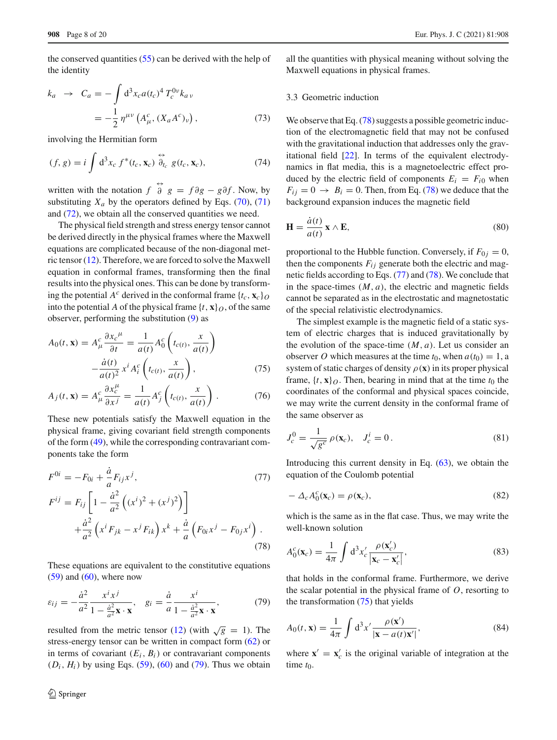the conserved quantities [\(55\)](#page-6-3) can be derived with the help of the identity

$$
k_a \rightarrow C_a = -\int d^3x_c a(t_c)^4 T_c^{0\nu} k_{a\nu}
$$
  
=  $-\frac{1}{2} \eta^{\mu\nu} (A^c_\mu, (X_a A^c)_\nu),$  (73)

involving the Hermitian form

<span id="page-7-4"></span>
$$
(f, g) = i \int d^3x_c f^*(t_c, \mathbf{x}_c) \stackrel{\leftrightarrow}{\partial}_{t_c} g(t_c, \mathbf{x}_c), \tag{74}
$$

written with the notation  $f \stackrel{\leftrightarrow}{\partial} g = f \partial g - g \partial f$ . Now, by substituting  $X_a$  by the operators defined by Eqs. [\(70\)](#page-6-4), [\(71\)](#page-6-4) and [\(72\)](#page-6-5), we obtain all the conserved quantities we need.

The physical field strength and stress energy tensor cannot be derived directly in the physical frames where the Maxwell equations are complicated because of the non-diagonal metric tensor [\(12\)](#page-3-3). Therefore, we are forced to solve the Maxwell equation in conformal frames, transforming then the final results into the physical ones. This can be done by transforming the potential  $A^c$  derived in the conformal frame  $\{t_c, \mathbf{x}_c\}_O$ into the potential *A* of the physical frame  $\{t, \mathbf{x}\}\$ o, of the same observer, performing the substitution [\(9\)](#page-2-2) as

<span id="page-7-2"></span>
$$
A_0(t, \mathbf{x}) = A^c_\mu \frac{\partial x_c^\mu}{\partial t} = \frac{1}{a(t)} A^c_0 \left( t_{c(t)}, \frac{x}{a(t)} \right)
$$

$$
- \frac{\dot{a}(t)}{a(t)^2} x^i A^c_i \left( t_{c(t)}, \frac{x}{a(t)} \right), \tag{75}
$$

$$
A_j(t, \mathbf{x}) = A^c_\mu \frac{\partial x^{\mu}_c}{\partial x^j} = \frac{1}{a(t)} A^c_j \left( t_{c(t)}, \frac{x}{a(t)} \right). \tag{76}
$$

These new potentials satisfy the Maxwell equation in the physical frame, giving covariant field strength components of the form [\(49\)](#page-5-3), while the corresponding contravariant components take the form

<span id="page-7-1"></span>
$$
F^{0i} = -F_{0i} + \frac{\dot{a}}{a} F_{ij} x^{j},
$$
  
\n
$$
F^{ij} = F_{ij} \left[ 1 - \frac{\dot{a}^{2}}{a^{2}} \left( (x^{i})^{2} + (x^{j})^{2} \right) \right]
$$
\n(77)

$$
A = \frac{a^2}{a^2} \left( x^i F_{jk} - x^j F_{ik} \right) x^k + \frac{\dot{a}}{a} \left( F_{0i} x^j - F_{0j} x^i \right).
$$
\n(78)

These equations are equivalent to the constitutive equations  $(59)$  and  $(60)$ , where now

<span id="page-7-0"></span>
$$
\varepsilon_{ij} = -\frac{\dot{a}^2}{a^2} \frac{x^i x^j}{1 - \frac{\dot{a}^2}{a^2} \mathbf{x} \cdot \mathbf{x}}, \quad g_i = \frac{\dot{a}}{a} \frac{x^i}{1 - \frac{\dot{a}^2}{a^2} \mathbf{x} \cdot \mathbf{x}}, \tag{79}
$$

resulted from the metric tensor [\(12\)](#page-3-3) (with  $\sqrt{g} = 1$ ). The stress-energy tensor can be written in compact form [\(62\)](#page-6-7) or in terms of covariant  $(E_i, B_i)$  or contravariant components  $(D_i, H_i)$  by using Eqs. [\(59\)](#page-6-6), [\(60\)](#page-6-6) and [\(79\)](#page-7-0). Thus we obtain

all the quantities with physical meaning without solving the Maxwell equations in physical frames.

## 3.3 Geometric induction

We observe that Eq. [\(78\)](#page-7-1) suggests a possible geometric induction of the electromagnetic field that may not be confused with the gravitational induction that addresses only the gravitational field [\[22\]](#page-19-5). In terms of the equivalent electrodynamics in flat media, this is a magnetoelectric effect produced by the electric field of components  $E_i = F_{i0}$  when  $F_{ij} = 0 \rightarrow B_i = 0$ . Then, from Eq. [\(78\)](#page-7-1) we deduce that the background expansion induces the magnetic field

<span id="page-7-3"></span>
$$
\mathbf{H} = \frac{\dot{a}(t)}{a(t)} \mathbf{x} \wedge \mathbf{E},\tag{80}
$$

proportional to the Hubble function. Conversely, if  $F_{0j} = 0$ , then the components  $F_{ij}$  generate both the electric and magnetic fields according to Eqs. [\(77\)](#page-7-1) and [\(78\)](#page-7-1). We conclude that in the space-times  $(M, a)$ , the electric and magnetic fields cannot be separated as in the electrostatic and magnetostatic of the special relativistic electrodynamics.

The simplest example is the magnetic field of a static system of electric charges that is induced gravitationally by the evolution of the space-time  $(M, a)$ . Let us consider an observer *O* which measures at the time  $t_0$ , when  $a(t_0) = 1$ , a system of static charges of density  $\rho(\mathbf{x})$  in its proper physical frame,  $\{t, \mathbf{x}\}\$ o. Then, bearing in mind that at the time  $t_0$  the coordinates of the conformal and physical spaces coincide, we may write the current density in the conformal frame of the same observer as

$$
J_c^0 = \frac{1}{\sqrt{g^c}} \rho(\mathbf{x}_c), \quad J_c^i = 0.
$$
 (81)

Introducing this current density in Eq.  $(63)$ , we obtain the equation of the Coulomb potential

$$
-\Delta_c A_0^c(\mathbf{x}_c) = \rho(\mathbf{x}_c),\tag{82}
$$

which is the same as in the flat case. Thus, we may write the well-known solution

$$
A_0^c(\mathbf{x}_c) = \frac{1}{4\pi} \int d^3x'_c \frac{\rho(\mathbf{x}'_c)}{|\mathbf{x}_c - \mathbf{x}'_c|},
$$
(83)

that holds in the conformal frame. Furthermore, we derive the scalar potential in the physical frame of *O*, resorting to the transformation [\(75\)](#page-7-2) that yields

$$
A_0(t, \mathbf{x}) = \frac{1}{4\pi} \int d^3 x' \frac{\rho(\mathbf{x}')}{|\mathbf{x} - a(t)\mathbf{x}'|},
$$
(84)

where  $\mathbf{x}' = \mathbf{x}'_c$  is the original variable of integration at the time  $t_0$ .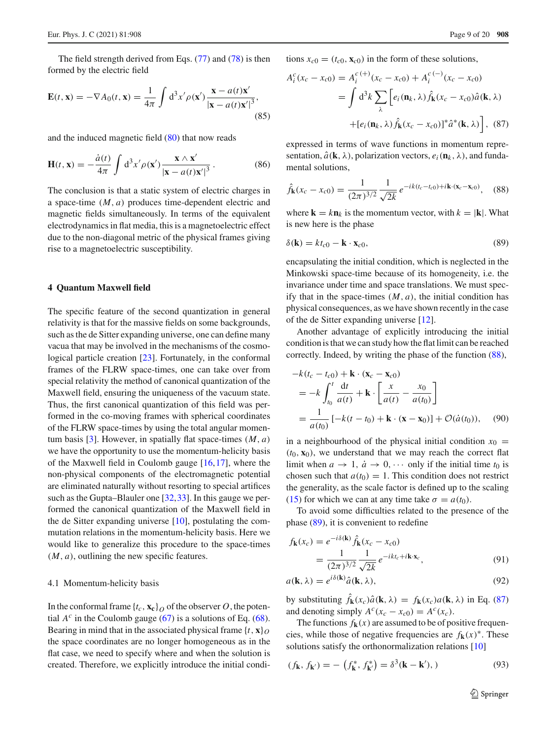The field strength derived from Eqs. [\(77\)](#page-7-1) and [\(78\)](#page-7-1) is then formed by the electric field

$$
\mathbf{E}(t, \mathbf{x}) = -\nabla A_0(t, \mathbf{x}) = \frac{1}{4\pi} \int d^3 x' \rho(\mathbf{x}') \frac{\mathbf{x} - a(t)\mathbf{x}'}{|\mathbf{x} - a(t)\mathbf{x}'|^3},\tag{85}
$$

and the induced magnetic field [\(80\)](#page-7-3) that now reads

$$
\mathbf{H}(t, \mathbf{x}) = -\frac{\dot{a}(t)}{4\pi} \int d^3x' \rho(\mathbf{x}') \frac{\mathbf{x} \wedge \mathbf{x}'}{|\mathbf{x} - a(t)\mathbf{x}'|^3}.
$$
 (86)

The conclusion is that a static system of electric charges in a space-time (*M*, *a*) produces time-dependent electric and magnetic fields simultaneously. In terms of the equivalent electrodynamics in flat media, this is a magnetoelectric effect due to the non-diagonal metric of the physical frames giving rise to a magnetoelectric susceptibility.

#### <span id="page-8-0"></span>**4 Quantum Maxwell field**

The specific feature of the second quantization in general relativity is that for the massive fields on some backgrounds, such as the de Sitter expanding universe, one can define many vacua that may be involved in the mechanisms of the cosmological particle creation [\[23\]](#page-19-6). Fortunately, in the conformal frames of the FLRW space-times, one can take over from special relativity the method of canonical quantization of the Maxwell field, ensuring the uniqueness of the vacuum state. Thus, the first canonical quantization of this field was performed in the co-moving frames with spherical coordinates of the FLRW space-times by using the total angular momen-tum basis [\[3](#page-18-2)]. However, in spatially flat space-times  $(M, a)$ we have the opportunity to use the momentum-helicity basis of the Maxwell field in Coulomb gauge [\[16,](#page-19-0)[17\]](#page-19-1), where the non-physical components of the electromagnetic potential are eliminated naturally without resorting to special artifices such as the Gupta–Blauler one [\[32](#page-19-15)[,33](#page-19-16)]. In this gauge we performed the canonical quantization of the Maxwell field in the de Sitter expanding universe [\[10](#page-18-6)], postulating the commutation relations in the momentum-helicity basis. Here we would like to generalize this procedure to the space-times  $(M, a)$ , outlining the new specific features.

## 4.1 Momentum-helicity basis

In the conformal frame  $\{t_c, \mathbf{x_c}\}\$  of the observer *O*, the potential  $A^c$  in the Coulomb gauge [\(67\)](#page-6-9) is a solutions of Eq. [\(68\)](#page-6-1). Bearing in mind that in the associated physical frame  $\{t, \mathbf{x}\}\$ the space coordinates are no longer homogeneous as in the flat case, we need to specify where and when the solution is created. Therefore, we explicitly introduce the initial condi-

<span id="page-8-3"></span>
$$
A_i^c(x_c - x_{c0}) = A_i^{c(+)}(x_c - x_{c0}) + A_i^{c(-)}(x_c - x_{c0})
$$
  
= 
$$
\int d^3k \sum_{\lambda} \left[ e_i(\mathbf{n}_k, \lambda) \hat{f}_\mathbf{k}(x_c - x_{c0}) \hat{a}(\mathbf{k}, \lambda) + \left[ e_i(\mathbf{n}_k, \lambda) \hat{f}_\mathbf{k}(x_c - x_{c0}) \right]^* \hat{a}^*(\mathbf{k}, \lambda) \right],
$$
 (87)

tions  $x_{c0} = (t_{c0}, \mathbf{x}_{c0})$  in the form of these solutions,

expressed in terms of wave functions in momentum representation,  $\hat{a}$ (**k**,  $\lambda$ ), polarization vectors,  $e_i$ ( $\mathbf{n}_k$ ,  $\lambda$ ), and fundamental solutions,

<span id="page-8-1"></span>
$$
\hat{f}_{\mathbf{k}}(x_c - x_{c0}) = \frac{1}{(2\pi)^{3/2}} \frac{1}{\sqrt{2k}} e^{-ik(t_c - t_{c0}) + i\mathbf{k} \cdot (\mathbf{x}_c - \mathbf{x}_{c0})}, \quad (88)
$$

where  $\mathbf{k} = k \mathbf{n}_k$  is the momentum vector, with  $k = |\mathbf{k}|$ . What is new here is the phase

<span id="page-8-2"></span>
$$
\delta(\mathbf{k}) = kt_{c0} - \mathbf{k} \cdot \mathbf{x}_{c0},\tag{89}
$$

encapsulating the initial condition, which is neglected in the Minkowski space-time because of its homogeneity, i.e. the invariance under time and space translations. We must specify that in the space-times  $(M, a)$ , the initial condition has physical consequences, as we have shown recently in the case of the de Sitter expanding universe [\[12\]](#page-18-8).

Another advantage of explicitly introducing the initial condition is that we can study how the flat limit can be reached correctly. Indeed, by writing the phase of the function [\(88\)](#page-8-1),

$$
-k(t_c - t_{c0}) + \mathbf{k} \cdot (\mathbf{x}_c - \mathbf{x}_{c0})
$$
  
= 
$$
-k \int_{t_0}^t \frac{dt}{a(t)} + \mathbf{k} \cdot \left[ \frac{x}{a(t)} - \frac{x_0}{a(t_0)} \right]
$$
  
= 
$$
\frac{1}{a(t_0)} [-k(t - t_0) + \mathbf{k} \cdot (\mathbf{x} - \mathbf{x}_0)] + \mathcal{O}(\dot{a}(t_0)), \quad (90)
$$

in a neighbourhood of the physical initial condition  $x_0 =$  $(t_0, \mathbf{x}_0)$ , we understand that we may reach the correct flat limit when  $a \to 1$ ,  $\dot{a} \to 0$ ,  $\cdots$  only if the initial time  $t_0$  is chosen such that  $a(t_0) = 1$ . This condition does not restrict the generality, as the scale factor is defined up to the scaling [\(15\)](#page-3-4) for which we can at any time take  $\sigma = a(t_0)$ .

To avoid some difficulties related to the presence of the phase [\(89\)](#page-8-2), it is convenient to redefine

$$
f_{\mathbf{k}}(x_c) = e^{-i\delta(\mathbf{k})} \hat{f}_{\mathbf{k}}(x_c - x_{c0})
$$
  
= 
$$
\frac{1}{(2\pi)^{3/2}} \frac{1}{\sqrt{2k}} e^{-ikt_c + i\mathbf{k} \cdot \mathbf{x}_c},
$$
(91)

$$
a(\mathbf{k}, \lambda) = e^{i\delta(\mathbf{k})}\hat{a}(\mathbf{k}, \lambda),\tag{92}
$$

by substituting  $\hat{f}_k(x_c)\hat{a}(\mathbf{k},\lambda) = f_k(x_c)a(\mathbf{k},\lambda)$  in Eq. [\(87\)](#page-8-3) and denoting simply  $A^c(x_c - x_{c0}) = A^c(x_c)$ .

The functions  $f_{\bf k}(x)$  are assumed to be of positive frequencies, while those of negative frequencies are  $f_{\bf k}(x)^*$ . These solutions satisfy the orthonormalization relations [\[10\]](#page-18-6)

<span id="page-8-4"></span>
$$
(f_{\mathbf{k}}, f_{\mathbf{k'}}) = -\left(f_{\mathbf{k}}^*, f_{\mathbf{k'}}^*\right) = \delta^3(\mathbf{k} - \mathbf{k'}),
$$
\n(93)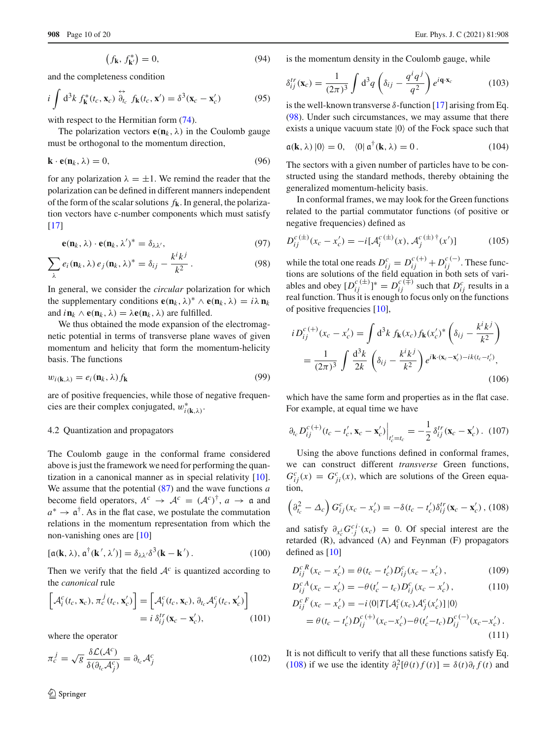$$
(f_{\mathbf{k}}, f_{\mathbf{k}'}^*) = 0,\t(94)
$$

and the completeness condition

$$
i \int d^3k f_{\mathbf{k}}^*(t_c, \mathbf{x}_c) \stackrel{\leftrightarrow}{\partial}_{t_c} f_{\mathbf{k}}(t_c, \mathbf{x}') = \delta^3(\mathbf{x}_c - \mathbf{x}'_c)
$$
 (95)

with respect to the Hermitian form  $(74)$ .

The polarization vectors  $\mathbf{e}(\mathbf{n}_k, \lambda)$  in the Coulomb gauge must be orthogonal to the momentum direction,

$$
\mathbf{k} \cdot \mathbf{e}(\mathbf{n}_k, \lambda) = 0,\tag{96}
$$

for any polarization  $\lambda = \pm 1$ . We remind the reader that the polarization can be defined in different manners independent of the form of the scalar solutions *f***k**. In general, the polarization vectors have c-number components which must satisfy  $[17]$  $[17]$ 

<span id="page-9-0"></span>
$$
\mathbf{e}(\mathbf{n}_k, \lambda) \cdot \mathbf{e}(\mathbf{n}_k, \lambda')^* = \delta_{\lambda \lambda'}, \tag{97}
$$

$$
\sum_{\lambda} e_i(\mathbf{n}_k, \lambda) e_j(\mathbf{n}_k, \lambda)^* = \delta_{ij} - \frac{k^i k^j}{k^2}.
$$
 (98)

In general, we consider the *circular* polarization for which the supplementary conditions  $\mathbf{e}(\mathbf{n}_k, \lambda)^* \wedge \mathbf{e}(\mathbf{n}_k, \lambda) = i\lambda \mathbf{n}_k$ and  $i\mathbf{n}_k \wedge \mathbf{e}(\mathbf{n}_k, \lambda) = \lambda \mathbf{e}(\mathbf{n}_k, \lambda)$  are fulfilled.

We thus obtained the mode expansion of the electromagnetic potential in terms of transverse plane waves of given momentum and helicity that form the momentum-helicity basis. The functions

$$
w_{i(\mathbf{k},\lambda)} = e_i(\mathbf{n}_k,\lambda) f_{\mathbf{k}} \tag{99}
$$

are of positive frequencies, while those of negative frequencies are their complex conjugated,  $w_{i(k,\lambda)}^*$ .

#### 4.2 Quantization and propagators

The Coulomb gauge in the conformal frame considered above is just the framework we need for performing the quantization in a canonical manner as in special relativity [\[10](#page-18-6)]. We assume that the potential [\(87\)](#page-8-3) and the wave functions *a* become field operators,  $A^c \rightarrow \mathcal{A}^c = (\mathcal{A}^c)^{\dagger}, a \rightarrow \mathfrak{a}$  and  $a^* \to \mathfrak{a}^\dagger$ . As in the flat case, we postulate the commutation relations in the momentum representation from which the non-vanishing ones are [\[10\]](#page-18-6)

$$
[\mathfrak{a}(\mathbf{k},\lambda),\mathfrak{a}^\dagger(\mathbf{k}',\lambda')] = \delta_{\lambda\lambda'}\delta^3(\mathbf{k}-\mathbf{k}'). \tag{100}
$$

Then we verify that the field  $A<sup>c</sup>$  is quantized according to the *canonical* rule

$$
\begin{bmatrix} \mathcal{A}_i^c(t_c, \mathbf{x}_c), \pi_c^j(t_c, \mathbf{x}_c') \end{bmatrix} = \begin{bmatrix} \mathcal{A}_i^c(t_c, \mathbf{x}_c), \partial_{t_c} \mathcal{A}_j^c(t_c, \mathbf{x}_c') \end{bmatrix}
$$

$$
= i \delta_{ij}^{tr} (\mathbf{x}_c - \mathbf{x}_c'), \qquad (101)
$$

where the operator

$$
\pi_c^j = \sqrt{g} \frac{\delta \mathcal{L}(\mathcal{A}^c)}{\delta (\partial_{t_c} \mathcal{A}^c_j)} = \partial_{t_c} \mathcal{A}^c_j \tag{102}
$$

is the momentum density in the Coulomb gauge, while

$$
\delta_{ij}^{tr}(\mathbf{x}_c) = \frac{1}{(2\pi)^3} \int d^3q \left(\delta_{ij} - \frac{q^iq^j}{q^2}\right) e^{i\mathbf{q}\cdot\mathbf{x}_c}
$$
(103)

is the well-known transverse  $\delta$ -function [\[17\]](#page-19-1) arising from Eq. [\(98\)](#page-9-0). Under such circumstances, we may assume that there exists a unique vacuum state  $|0\rangle$  of the Fock space such that

$$
\mathfrak{a}(\mathbf{k},\lambda)|0\rangle = 0, \quad \langle 0|\,\mathfrak{a}^\dagger(\mathbf{k},\lambda) = 0. \tag{104}
$$

The sectors with a given number of particles have to be constructed using the standard methods, thereby obtaining the generalized momentum-helicity basis.

In conformal frames, we may look for the Green functions related to the partial commutator functions (of positive or negative frequencies) defined as

$$
D_{ij}^{c\,(\pm)}(x_c - x_c') = -i[\mathcal{A}_i^{c\,(\pm)}(x), \mathcal{A}_j^{c\,(\pm)}(x')] \tag{105}
$$

while the total one reads  $D_{ij}^c = D_{ij}^{c(+)} + D_{ij}^{c(-)}$ . These functions are solutions of the field equation in both sets of variables and obey  $[D_{ij}^{c(+)}]^* = D_{ij}^{c(+)}$  such that  $D_{ij}^c$  results in a real function. Thus it is enough to focus only on the functions of positive frequencies [\[10](#page-18-6)],

$$
i D_{ij}^{c(+)}(x_c - x_c') = \int d^3k f_{\mathbf{k}}(x_c) f_{\mathbf{k}}(x_c')^* \left(\delta_{ij} - \frac{k^i k^j}{k^2}\right)
$$
  
= 
$$
\frac{1}{(2\pi)^3} \int \frac{d^3k}{2k} \left(\delta_{ij} - \frac{k^i k^j}{k^2}\right) e^{i\mathbf{k} \cdot (\mathbf{x}_c - \mathbf{x}_c') - i k (t_c - t_c')}.
$$
(106)

which have the same form and properties as in the flat case. For example, at equal time we have

<span id="page-9-2"></span>
$$
\partial_{t_c} D_{ij}^{c\,(+)}(t_c - t_c', \mathbf{x}_c - \mathbf{x}_c') \Big|_{t_c'=t_c} = -\frac{1}{2} \delta_{ij}^{tr}(\mathbf{x}_c - \mathbf{x}_c') \,. \tag{107}
$$

Using the above functions defined in conformal frames, we can construct different *transverse* Green functions,  $G_{ij}^c(x) = G_{ji}^c(x)$ , which are solutions of the Green equation,

<span id="page-9-1"></span>
$$
\left(\partial_{t_c}^2 - \Delta_c\right) G_{ij}^c (x_c - x_c') = -\delta (t_c - t_c') \delta_{ij}^{tr} (\mathbf{x}_c - \mathbf{x}_c') , (108)
$$

and satisfy  $\partial_{x_c^i} G_{j}^{ci}(x_c) = 0$ . Of special interest are the retarded (R), advanced (A) and Feynman (F) propagators defined as [\[10](#page-18-6)]

$$
D_{ij}^{cR}(x_c - x'_c) = \theta(t_c - t'_c)D_{ij}^c(x_c - x'_c),
$$
 (109)

$$
D_{ij}^{cA}(x_c - x_c') = -\theta(t_c' - t_c)D_{ij}^c(x_c - x_c'),
$$
  
\n
$$
D_{ij}^{cF}(x_c - x_c') = -i \langle 0|T[\mathcal{A}_i^c(x_c)\mathcal{A}_j^c(x_c')]|0\rangle
$$
\n(110)

$$
= \theta(t_c - t'_c)D_{ij}^{c(+)}(x_c - x'_c) - \theta(t'_c - t_c)D_{ij}^{c(-)}(x_c - x'_c).
$$
\n(111)

It is not difficult to verify that all these functions satisfy Eq. [\(108\)](#page-9-1) if we use the identity  $\partial_t^2[\theta(t)f(t)] = \delta(t)\partial_t f(t)$  and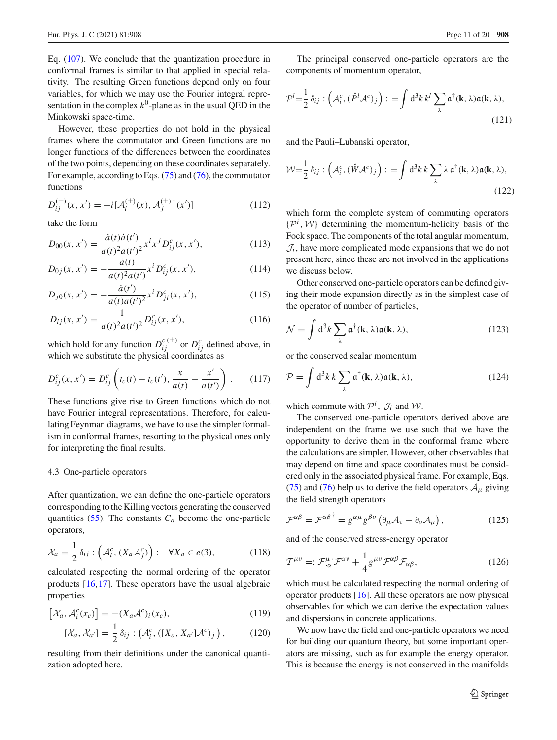Eq. [\(107\)](#page-9-2). We conclude that the quantization procedure in conformal frames is similar to that applied in special relativity. The resulting Green functions depend only on four variables, for which we may use the Fourier integral representation in the complex  $k^0$ -plane as in the usual QED in the Minkowski space-time.

However, these properties do not hold in the physical frames where the commutator and Green functions are no longer functions of the differences between the coordinates of the two points, depending on these coordinates separately. For example, according to Eqs. [\(75\)](#page-7-2) and [\(76\)](#page-7-2), the commutator functions

$$
D_{ij}^{(\pm)}(x, x') = -i[\mathcal{A}_i^{(\pm)}(x), \mathcal{A}_j^{(\pm)}{}^{\dagger}(x')] \tag{112}
$$

take the form

$$
D_{00}(x, x') = \frac{\dot{a}(t)\dot{a}(t')}{a(t)^2 a(t')^2} x^i x^j D_{ij}^c(x, x'), \qquad (113)
$$

$$
D_{0j}(x, x') = -\frac{\dot{a}(t)}{a(t)^2 a(t')} x^i D_{ij}^c(x, x'), \qquad (114)
$$

$$
D_{j0}(x, x') = -\frac{\dot{a}(t')}{a(t)a(t')^2} x^i D_{ji}^c(x, x'), \qquad (115)
$$

$$
D_{ij}(x, x') = \frac{1}{a(t)^2 a(t')^2} D_{ij}^c(x, x'),
$$
\n(116)

which hold for any function  $D_{ij}^{c}$ <sup>( $\pm$ )</sup> or  $D_{ij}^{c}$  defined above, in which we substitute the physical coordinates as

$$
D_{ij}^{c}(x, x') = D_{ij}^{c}\left(t_c(t) - t_c(t'), \frac{x}{a(t)} - \frac{x'}{a(t')}\right). \tag{117}
$$

These functions give rise to Green functions which do not have Fourier integral representations. Therefore, for calculating Feynman diagrams, we have to use the simpler formalism in conformal frames, resorting to the physical ones only for interpreting the final results.

#### 4.3 One-particle operators

After quantization, we can define the one-particle operators corresponding to the Killing vectors generating the conserved quantities  $(55)$ . The constants  $C_a$  become the one-particle operators,

<span id="page-10-3"></span>
$$
\mathcal{X}_a = \frac{1}{2} \delta_{ij} : \left( \mathcal{A}_i^c, (X_a \mathcal{A}_j^c) \right) : \quad \forall X_a \in e(3), \tag{118}
$$

calculated respecting the normal ordering of the operator products [\[16](#page-19-0)[,17](#page-19-1)]. These operators have the usual algebraic properties

$$
\left[\mathcal{X}_a, \mathcal{A}_i^c(x_c)\right] = -(X_a \mathcal{A}^c)_i(x_c),\tag{119}
$$

$$
[\mathcal{X}_a, \mathcal{X}_{a'}] = \frac{1}{2} \delta_{ij} : (\mathcal{A}_i^c, ([X_a, X_{a'}]\mathcal{A}^c)_j), \tag{120}
$$

resulting from their definitions under the canonical quantization adopted here.

The principal conserved one-particle operators are the components of momentum operator,

<span id="page-10-1"></span>
$$
\mathcal{P}^l = \frac{1}{2} \delta_{ij} : \left( \mathcal{A}^c_i, (\hat{P}^l \mathcal{A}^c)_j \right) : = \int d^3k \, k^l \sum_{\lambda} \mathfrak{a}^\dagger(\mathbf{k}, \lambda) \mathfrak{a}(\mathbf{k}, \lambda), \tag{121}
$$

and the Pauli–Lubanski operator,

$$
\mathcal{W} = \frac{1}{2} \delta_{ij} : \left( \mathcal{A}_i^c, (\hat{W} \mathcal{A}^c)_j \right) : = \int d^3k \, k \sum_{\lambda} \lambda \, \mathfrak{a}^\dagger(\mathbf{k}, \lambda) \mathfrak{a}(\mathbf{k}, \lambda), \tag{122}
$$

which form the complete system of commuting operators {*Pi* , *W*} determining the momentum-helicity basis of the Fock space. The components of the total angular momentum,  $J_i$ , have more complicated mode expansions that we do not present here, since these are not involved in the applications we discuss below.

Other conserved one-particle operators can be defined giving their mode expansion directly as in the simplest case of the operator of number of particles,

$$
\mathcal{N} = \int d^3k \sum_{\lambda} \mathfrak{a}^\dagger(\mathbf{k}, \lambda) \mathfrak{a}(\mathbf{k}, \lambda), \qquad (123)
$$

or the conserved scalar momentum

<span id="page-10-0"></span>
$$
\mathcal{P} = \int d^3k \, k \sum_{\lambda} \mathfrak{a}^\dagger(\mathbf{k}, \lambda) \mathfrak{a}(\mathbf{k}, \lambda), \tag{124}
$$

which commute with  $P^i$ ,  $\mathcal{J}_i$  and  $\mathcal{W}$ .

The conserved one-particle operators derived above are independent on the frame we use such that we have the opportunity to derive them in the conformal frame where the calculations are simpler. However, other observables that may depend on time and space coordinates must be considered only in the associated physical frame. For example, Eqs. [\(75\)](#page-7-2) and [\(76\)](#page-7-2) help us to derive the field operators  $A_\mu$  giving the field strength operators

$$
\mathcal{F}^{\alpha\beta} = \mathcal{F}^{\alpha\beta}{}^{\dagger} = g^{\alpha\mu}g^{\beta\nu}\left(\partial_{\mu}\mathcal{A}_{\nu} - \partial_{\nu}\mathcal{A}_{\mu}\right),\tag{125}
$$

and of the conserved stress-energy operator

<span id="page-10-2"></span>
$$
\mathcal{T}^{\mu\nu} =: \mathcal{F}^{\mu}_{\alpha} \mathcal{F}^{\alpha\nu} + \frac{1}{4} g^{\mu\nu} \mathcal{F}^{\alpha\beta} \mathcal{F}_{\alpha\beta}, \qquad (126)
$$

which must be calculated respecting the normal ordering of operator products [\[16\]](#page-19-0). All these operators are now physical observables for which we can derive the expectation values and dispersions in concrete applications.

We now have the field and one-particle operators we need for building our quantum theory, but some important operators are missing, such as for example the energy operator. This is because the energy is not conserved in the manifolds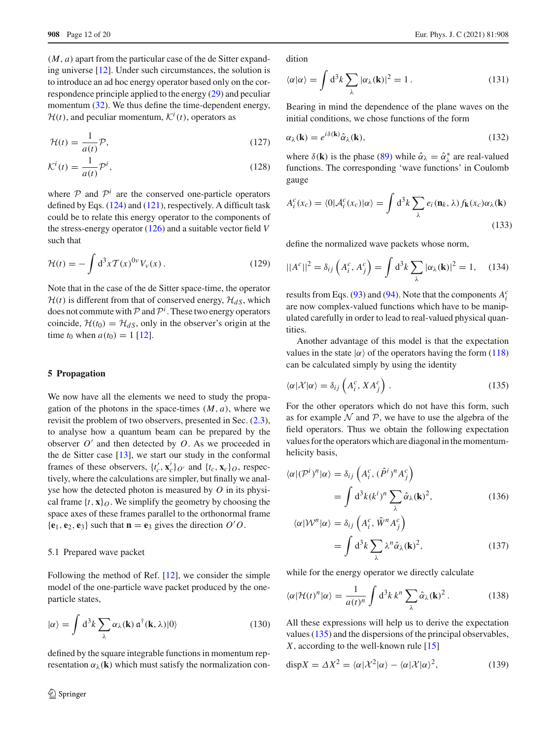(*M*, *a*) apart from the particular case of the de Sitter expanding universe [\[12](#page-18-8)]. Under such circumstances, the solution is to introduce an ad hoc energy operator based only on the correspondence principle applied to the energy [\(29\)](#page-4-0) and peculiar momentum  $(32)$ . We thus define the time-dependent energy,  $H(t)$ , and peculiar momentum,  $K^{i}(t)$ , operators as

$$
\mathcal{H}(t) = \frac{1}{a(t)} \mathcal{P},\tag{127}
$$

$$
\mathcal{K}^i(t) = \frac{1}{a(t)} \mathcal{P}^i,\tag{128}
$$

where  $P$  and  $P^i$  are the conserved one-particle operators defined by Eqs. [\(124\)](#page-10-0) and [\(121\)](#page-10-1), respectively. A difficult task could be to relate this energy operator to the components of the stress-energy operator [\(126\)](#page-10-2) and a suitable vector field *V* such that

$$
\mathcal{H}(t) = -\int \mathrm{d}^3 x \mathcal{T}(x)^{0\nu} V_{\nu}(x) \,. \tag{129}
$$

Note that in the case of the de Sitter space-time, the operator  $H(t)$  is different from that of conserved energy,  $H_{dS}$ , which does not commute with  $P$  and  $P^i$ . These two energy operators coincide,  $H(t_0) = H_d s$ , only in the observer's origin at the time  $t_0$  when  $a(t_0) = 1$  [\[12\]](#page-18-8).

## <span id="page-11-0"></span>**5 Propagation**

We now have all the elements we need to study the propagation of the photons in the space-times  $(M, a)$ , where we revisit the problem of two observers, presented in Sec. [\(2.3\)](#page-4-5), to analyse how a quantum beam can be prepared by the observer  $O'$  and then detected by  $O$ . As we proceeded in the de Sitter case  $[13]$  $[13]$ , we start our study in the conformal frames of these observers,  $\{t'_c, \mathbf{x}'_c\}_{O'}$  and  $\{t_c, \mathbf{x}_c\}_{O}$ , respectively, where the calculations are simpler, but finally we analyse how the detected photon is measured by *O* in its physical frame  $\{t, \mathbf{x}\}\$ o. We simplify the geometry by choosing the space axes of these frames parallel to the orthonormal frame  ${\bf e}_1, {\bf e}_2, {\bf e}_3$  such that  ${\bf n} = {\bf e}_3$  gives the direction  $O/O$ .

# 5.1 Prepared wave packet

Following the method of Ref. [\[12](#page-18-8)], we consider the simple model of the one-particle wave packet produced by the oneparticle states,

$$
|\alpha\rangle = \int d^3k \sum_{\lambda} \alpha_{\lambda}(\mathbf{k}) \, \mathfrak{a}^\dagger(\mathbf{k}, \lambda) |0\rangle \tag{130}
$$

defined by the square integrable functions in momentum representation  $\alpha_{\lambda}(\mathbf{k})$  which must satisfy the normalization condition

$$
\langle \alpha | \alpha \rangle = \int d^3k \sum_{\lambda} |\alpha_{\lambda}(\mathbf{k})|^2 = 1. \tag{131}
$$

Bearing in mind the dependence of the plane waves on the initial conditions, we chose functions of the form

<span id="page-11-2"></span>
$$
\alpha_{\lambda}(\mathbf{k}) = e^{i\delta(\mathbf{k})}\hat{\alpha}_{\lambda}(\mathbf{k}),\tag{132}
$$

where  $\delta(\mathbf{k})$  is the phase [\(89\)](#page-8-2) while  $\hat{\alpha}_{\lambda} = \hat{\alpha}_{\lambda}^{*}$  are real-valued functions. The corresponding 'wave functions' in Coulomb gauge

$$
A_i^c(x_c) = \langle 0 | \mathcal{A}_i^c(x_c) | \alpha \rangle = \int d^3k \sum_{\lambda} e_i(\mathbf{n}_k, \lambda) f_{\mathbf{k}}(x_c) \alpha_{\lambda}(\mathbf{k})
$$
\n(133)

define the normalized wave packets whose norm,

$$
||Ac||2 = \delta_{ij} \left( A_i^c, A_j^c \right) = \int d^3k \sum_{\lambda} |\alpha_{\lambda}(\mathbf{k})|^2 = 1, \quad (134)
$$

results from Eqs. [\(93\)](#page-8-4) and [\(94\)](#page-8-4). Note that the components  $A_i^c$ are now complex-valued functions which have to be manipulated carefully in order to lead to real-valued physical quantities.

Another advantage of this model is that the expectation values in the state  $|\alpha\rangle$  of the operators having the form [\(118\)](#page-10-3) can be calculated simply by using the identity

<span id="page-11-1"></span>
$$
\langle \alpha | \mathcal{X} | \alpha \rangle = \delta_{ij} \left( A_i^c, X A_j^c \right) . \tag{135}
$$

For the other operators which do not have this form, such as for example  $N$  and  $P$ , we have to use the algebra of the field operators. Thus we obtain the following expectation values for the operators which are diagonal in the momentumhelicity basis,

<span id="page-11-3"></span>
$$
\langle \alpha | (\mathcal{P}^i)^n | \alpha \rangle = \delta_{ij} \left( A_i^c, (\hat{P}^i)^n A_j^c \right)
$$

$$
= \int d^3k (k^i)^n \sum_{\lambda} \hat{\alpha}_{\lambda} (\mathbf{k})^2, \tag{136}
$$

$$
\langle \alpha | \mathcal{W}^n | \alpha \rangle = \delta_{ij} \left( A_i^c, \hat{W}^n A_j^c \right)
$$
  
= 
$$
\int d^3 k \sum_{\lambda} \lambda^n \hat{\alpha}_{\lambda}(\mathbf{k})^2,
$$
 (137)

while for the energy operator we directly calculate

<span id="page-11-4"></span>
$$
\langle \alpha | \mathcal{H}(t)^n | \alpha \rangle = \frac{1}{a(t)^n} \int d^3k \, k^n \sum_{\lambda} \hat{\alpha}_{\lambda}(\mathbf{k})^2 \,. \tag{138}
$$

All these expressions will help us to derive the expectation values [\(135\)](#page-11-1) and the dispersions of the principal observables, *X*, according to the well-known rule [\[15\]](#page-18-11)

<span id="page-11-5"></span>
$$
dispX = \Delta X^2 = \langle \alpha | \mathcal{X}^2 | \alpha \rangle - \langle \alpha | \mathcal{X} | \alpha \rangle^2, \tag{139}
$$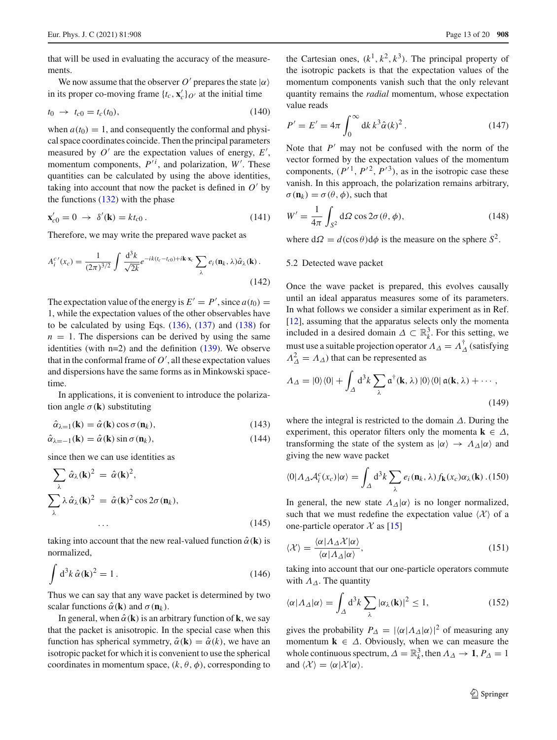that will be used in evaluating the accuracy of the measurements.

We now assume that the observer *O'* prepares the state  $|\alpha\rangle$ in its proper co-moving frame  $\{t_c, \mathbf{x}'_c\}_{O'}$  at the initial time

$$
t_0 \to t_{c0} = t_c(t_0), \tag{140}
$$

when  $a(t_0) = 1$ , and consequently the conformal and physical space coordinates coincide. Then the principal parameters measured by  $O'$  are the expectation values of energy,  $E'$ , momentum components,  $P^{\prime i}$ , and polarization,  $W'$ . These quantities can be calculated by using the above identities, taking into account that now the packet is defined in  $O'$  by the functions  $(132)$  with the phase

$$
\mathbf{x}'_{c0} = 0 \ \to \ \delta'(\mathbf{k}) = kt_{c0} \,. \tag{141}
$$

Therefore, we may write the prepared wave packet as

<span id="page-12-1"></span>
$$
A_i^{c'}(x_c) = \frac{1}{(2\pi)^{3/2}} \int \frac{\mathrm{d}^3 k}{\sqrt{2k}} e^{-ik(t_c - t_{c0}) + i\mathbf{k} \cdot \mathbf{x}_c} \sum_{\lambda} e_i(\mathbf{n}_k, \lambda) \hat{\alpha}_{\lambda}(\mathbf{k}) \,. \tag{142}
$$

The expectation value of the energy is  $E' = P'$ , since  $a(t_0) =$ 1, while the expectation values of the other observables have to be calculated by using Eqs.  $(136)$ ,  $(137)$  and  $(138)$  for  $n = 1$ . The dispersions can be derived by using the same identities (with  $n=2$ ) and the definition [\(139\)](#page-11-5). We observe that in the conformal frame of  $O'$ , all these expectation values and dispersions have the same forms as in Minkowski spacetime.

In applications, it is convenient to introduce the polarization angle  $\sigma(\mathbf{k})$  substituting

<span id="page-12-2"></span>
$$
\hat{\alpha}_{\lambda=1}(\mathbf{k}) = \hat{\alpha}(\mathbf{k}) \cos \sigma(\mathbf{n}_k), \tag{143}
$$

$$
\hat{\alpha}_{\lambda=-1}(\mathbf{k}) = \hat{\alpha}(\mathbf{k}) \sin \sigma(\mathbf{n}_k), \tag{144}
$$

since then we can use identities as

$$
\sum_{\lambda} \hat{\alpha}_{\lambda}(\mathbf{k})^2 = \hat{\alpha}(\mathbf{k})^2,
$$
  

$$
\sum_{\lambda} \lambda \hat{\alpha}_{\lambda}(\mathbf{k})^2 = \hat{\alpha}(\mathbf{k})^2 \cos 2\sigma(\mathbf{n}_k),
$$
  
... (145)

taking into account that the new real-valued function  $\hat{\alpha}(\mathbf{k})$  is normalized,

$$
\int d^3k \,\hat{\alpha}(\mathbf{k})^2 = 1. \tag{146}
$$

Thus we can say that any wave packet is determined by two scalar functions  $\hat{\alpha}(\mathbf{k})$  and  $\sigma(\mathbf{n}_k)$ .

In general, when  $\hat{\alpha}(\mathbf{k})$  is an arbitrary function of **k**, we say that the packet is anisotropic. In the special case when this function has spherical symmetry,  $\hat{\alpha}(\mathbf{k}) = \hat{\alpha}(k)$ , we have an isotropic packet for which it is convenient to use the spherical coordinates in momentum space,  $(k, \theta, \phi)$ , corresponding to

the Cartesian ones,  $(k^1, k^2, k^3)$ . The principal property of the isotropic packets is that the expectation values of the momentum components vanish such that the only relevant quantity remains the *radial* momentum, whose expectation value reads

$$
P' = E' = 4\pi \int_0^\infty dk \, k^3 \hat{\alpha}(k)^2 \,. \tag{147}
$$

Note that  $P'$  may not be confused with the norm of the vector formed by the expectation values of the momentum components,  $(P'^1, P'^2, P'^3)$ , as in the isotropic case these vanish. In this approach, the polarization remains arbitrary,  $\sigma(\mathbf{n}_k) = \sigma(\theta, \phi)$ , such that

$$
W' = \frac{1}{4\pi} \int_{S^2} d\Omega \cos 2\sigma(\theta, \phi), \qquad (148)
$$

where  $d\Omega = d(\cos \theta) d\phi$  is the measure on the sphere  $S^2$ .

#### 5.2 Detected wave packet

Once the wave packet is prepared, this evolves causally until an ideal apparatus measures some of its parameters. In what follows we consider a similar experiment as in Ref. [\[12](#page-18-8)], assuming that the apparatus selects only the momenta included in a desired domain  $\Delta \subset \mathbb{R}^3_k$ . For this setting, we must use a suitable projection operator  $\Lambda_{\Delta} = \Lambda_{\Delta}^{\dagger}$  (satisfying  $\Lambda_{\Delta}^2 = \Lambda_{\Delta}$ ) that can be represented as

$$
\Lambda_{\Delta} = |0\rangle\langle 0| + \int_{\Delta} d^{3}k \sum_{\lambda} \mathfrak{a}^{\dagger}(\mathbf{k}, \lambda) |0\rangle\langle 0| \mathfrak{a}(\mathbf{k}, \lambda) + \cdots,
$$
\n(149)

where the integral is restricted to the domain  $\Delta$ . During the experiment, this operator filters only the momenta  $\mathbf{k} \in \Delta$ , transforming the state of the system as  $|\alpha\rangle \rightarrow \Lambda_{\Delta} |\alpha\rangle$  and giving the new wave packet

<span id="page-12-0"></span>
$$
\langle 0 | \Lambda_{\Delta} \mathcal{A}_i^c(x_c) | \alpha \rangle = \int_{\Delta} d^3k \sum_{\lambda} e_i(\mathbf{n}_k, \lambda) f_{\mathbf{k}}(x_c) \alpha_{\lambda}(\mathbf{k}) \, . (150)
$$

In general, the new state  $\Lambda_{\Delta}|\alpha\rangle$  is no longer normalized, such that we must redefine the expectation value  $\langle X \rangle$  of a one-particle operator  $\mathcal X$  as [\[15](#page-18-11)]

$$
\langle \mathcal{X} \rangle = \frac{\langle \alpha | \Lambda_{\Delta} \mathcal{X} | \alpha \rangle}{\langle \alpha | \Lambda_{\Delta} | \alpha \rangle},\tag{151}
$$

taking into account that our one-particle operators commute with  $\Lambda_{\Delta}$ . The quantity

$$
\langle \alpha | \Lambda_{\Delta} | \alpha \rangle = \int_{\Delta} d^3 k \sum_{\lambda} |\alpha_{\lambda}(\mathbf{k})|^2 \le 1,
$$
 (152)

gives the probability  $P_{\Delta} = |\langle \alpha | \Lambda_{\Delta} | \alpha \rangle|^2$  of measuring any momentum  $\mathbf{k} \in \Delta$ . Obviously, when we can measure the whole continuous spectrum,  $\Delta = \mathbb{R}^3_k$ , then  $\Lambda_\Delta \to \mathbf{1}, P_\Delta = 1$ and  $\langle \mathcal{X} \rangle = \langle \alpha | \mathcal{X} | \alpha \rangle$ .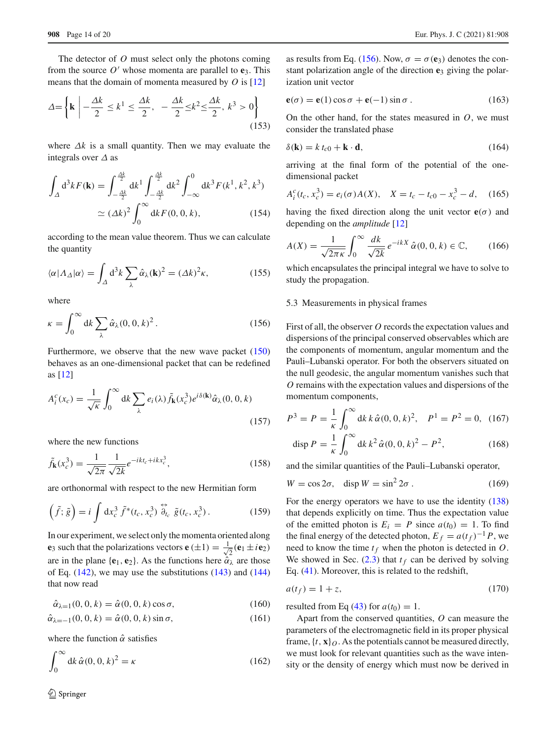The detector of *O* must select only the photons coming from the source  $O'$  whose momenta are parallel to  $e_3$ . This means that the domain of momenta measured by *O* is [\[12](#page-18-8)]

$$
\Delta = \left\{ \mathbf{k} \mid -\frac{\Delta k}{2} \le k^1 \le \frac{\Delta k}{2}, \ -\frac{\Delta k}{2} \le k^2 \le \frac{\Delta k}{2}, \ k^3 > 0 \right\} \tag{153}
$$

where  $\Delta k$  is a small quantity. Then we may evaluate the integrals over  $\Delta$  as

$$
\int_{\Delta} d^{3}k F(\mathbf{k}) = \int_{-\frac{\Delta k}{2}}^{\frac{\Delta k}{2}} dk^{1} \int_{-\frac{\Delta k}{2}}^{\frac{\Delta k}{2}} dk^{2} \int_{-\infty}^{0} dk^{3} F(k^{1}, k^{2}, k^{3})
$$

$$
\simeq (\Delta k)^{2} \int_{0}^{\infty} dk F(0, 0, k), \qquad (154)
$$

according to the mean value theorem. Thus we can calculate the quantity

$$
\langle \alpha | \Lambda_{\Delta} | \alpha \rangle = \int_{\Delta} d^3 k \sum_{\lambda} \hat{\alpha}_{\lambda}(\mathbf{k})^2 = (\Delta k)^2 \kappa, \qquad (155)
$$

where

<span id="page-13-0"></span>
$$
\kappa = \int_0^\infty \mathrm{d}k \sum_{\lambda} \hat{\alpha}_{\lambda}(0, 0, k)^2 \,. \tag{156}
$$

Furthermore, we observe that the new wave packet [\(150\)](#page-12-0) behaves as an one-dimensional packet that can be redefined as [\[12](#page-18-8)]

$$
A_i^c(x_c) = \frac{1}{\sqrt{\kappa}} \int_0^\infty dk \sum_\lambda e_i(\lambda) \tilde{f}_k(x_c^3) e^{i\delta(k)} \hat{\alpha}_\lambda(0, 0, k)
$$
\n(157)

where the new functions

$$
\tilde{f}_{\mathbf{k}}(x_c^3) = \frac{1}{\sqrt{2\pi}} \frac{1}{\sqrt{2k}} e^{-ikt_c + ikx_c^3},\tag{158}
$$

are orthonormal with respect to the new Hermitian form

$$
\left(\tilde{f};\tilde{g}\right) = i \int \mathrm{d}x_c^3 \, \tilde{f}^*(t_c, x_c^3) \stackrel{\leftrightarrow}{\partial}_{t_c} \tilde{g}(t_c, x_c^3). \tag{159}
$$

In our experiment, we select only the momenta oriented along **e**<sub>3</sub> such that the polarizations vectors **e** ( $\pm 1$ ) =  $\frac{1}{\sqrt{2}}$  $\frac{1}{2}$  (**e**<sub>1</sub>  $\pm$ *i***e**<sub>2</sub>) are in the plane { $\mathbf{e}_1$ ,  $\mathbf{e}_2$ }. As the functions here  $\hat{\alpha}_{\lambda}$  are those of Eq.  $(142)$ , we may use the substitutions  $(143)$  and  $(144)$ that now read

$$
\hat{\alpha}_{\lambda=1}(0, 0, k) = \hat{\alpha}(0, 0, k) \cos \sigma,
$$
\n(160)

$$
\hat{\alpha}_{\lambda=-1}(0, 0, k) = \hat{\alpha}(0, 0, k) \sin \sigma,
$$
\n(161)

where the function  $\hat{\alpha}$  satisfies

$$
\int_0^\infty \mathrm{d}k \,\hat{\alpha}(0,0,k)^2 = \kappa \tag{162}
$$

as results from Eq. [\(156\)](#page-13-0). Now,  $\sigma = \sigma(e_3)$  denotes the constant polarization angle of the direction **e**<sup>3</sup> giving the polarization unit vector

$$
\mathbf{e}(\sigma) = \mathbf{e}(1)\cos\sigma + \mathbf{e}(-1)\sin\sigma. \tag{163}
$$

On the other hand, for the states measured in *O*, we must consider the translated phase

$$
\delta(\mathbf{k}) = k t_{c0} + \mathbf{k} \cdot \mathbf{d},\tag{164}
$$

arriving at the final form of the potential of the onedimensional packet

<span id="page-13-1"></span>
$$
A_i^c(t_c, x_c^3) = e_i(\sigma)A(X), \quad X = t_c - t_{c0} - x_c^3 - d,\tag{165}
$$

having the fixed direction along the unit vector  $e(\sigma)$  and depending on the *amplitude* [\[12\]](#page-18-8)

<span id="page-13-2"></span>
$$
A(X) = \frac{1}{\sqrt{2\pi\kappa}} \int_0^\infty \frac{dk}{\sqrt{2k}} e^{-ikX} \hat{\alpha}(0, 0, k) \in \mathbb{C}, \qquad (166)
$$

which encapsulates the principal integral we have to solve to study the propagation.

#### 5.3 Measurements in physical frames

First of all, the observer *O* records the expectation values and dispersions of the principal conserved observables which are the components of momentum, angular momentum and the Pauli–Lubanski operator. For both the observers situated on the null geodesic, the angular momentum vanishes such that *O* remains with the expectation values and dispersions of the momentum components,

$$
P^{3} = P = \frac{1}{\kappa} \int_{0}^{\infty} dk \, k \, \hat{\alpha}(0, 0, k)^{2}, \quad P^{1} = P^{2} = 0, \quad (167)
$$

$$
\text{disp } P = \frac{1}{\kappa} \int_{0}^{\infty} dk \, k^{2} \, \hat{\alpha}(0, 0, k)^{2} - P^{2}, \quad (168)
$$

and the similar quantities of the Pauli–Lubanski operator,

$$
W = \cos 2\sigma, \quad \text{disp } W = \sin^2 2\sigma \,. \tag{169}
$$

For the energy operators we have to use the identity [\(138\)](#page-11-4) that depends explicitly on time. Thus the expectation value of the emitted photon is  $E_i = P$  since  $a(t_0) = 1$ . To find the final energy of the detected photon,  $E_f = a(t_f)^{-1}P$ , we need to know the time  $t_f$  when the photon is detected in  $O$ . We showed in Sec.  $(2.3)$  that  $t_f$  can be derived by solving Eq. [\(41\)](#page-4-4). Moreover, this is related to the redshift,

<span id="page-13-3"></span>
$$
a(t_f) = 1 + z,\tag{170}
$$

resulted from Eq [\(43\)](#page-5-4) for  $a(t_0) = 1$ .

Apart from the conserved quantities, *O* can measure the parameters of the electromagnetic field in its proper physical frame,  $\{t, \mathbf{x}\}\_O$ . As the potentials cannot be measured directly, we must look for relevant quantities such as the wave intensity or the density of energy which must now be derived in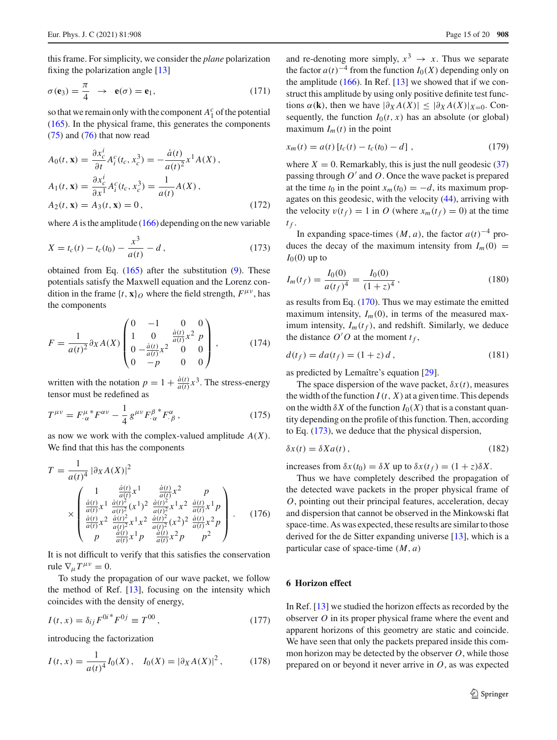this frame. For simplicity, we consider the *plane* polarization fixing the polarization angle [\[13\]](#page-18-9)

<span id="page-14-2"></span>
$$
\sigma(\mathbf{e}_3) = \frac{\pi}{4} \rightarrow \mathbf{e}(\sigma) = \mathbf{e}_1,\tag{171}
$$

so that we remain only with the component  $A_1^c$  of the potential [\(165\)](#page-13-1). In the physical frame, this generates the components [\(75\)](#page-7-2) and [\(76\)](#page-7-2) that now read

$$
A_0(t, \mathbf{x}) = \frac{\partial x_c^i}{\partial t} A_i^c(t_c, x_c^3) = -\frac{\dot{a}(t)}{a(t)^2} x^1 A(X),
$$
  
\n
$$
A_1(t, \mathbf{x}) = \frac{\partial x_c^i}{\partial x^1} A_i^c(t_c, x_c^3) = \frac{1}{a(t)} A(X),
$$
  
\n
$$
A_2(t, \mathbf{x}) = A_3(t, \mathbf{x}) = 0,
$$
\n(172)

where *A* is the amplitude [\(166\)](#page-13-2) depending on the new variable

<span id="page-14-1"></span>
$$
X = t_c(t) - t_c(t_0) - \frac{x^3}{a(t)} - d\,,\tag{173}
$$

obtained from Eq.  $(165)$  after the substitution  $(9)$ . These potentials satisfy the Maxwell equation and the Lorenz condition in the frame  $\{t, \mathbf{x}\}\$ o where the field strength,  $F^{\mu\nu}$ , has the components

$$
F = \frac{1}{a(t)^2} \partial_X A(X) \begin{pmatrix} 0 & -1 & 0 & 0 \\ 1 & 0 & \frac{\dot{a}(t)}{a(t)} x^2 & p \\ 0 & -\frac{\dot{a}(t)}{a(t)} x^2 & 0 & 0 \\ 0 & -p & 0 & 0 \end{pmatrix},
$$
(174)

written with the notation  $p = 1 + \frac{\dot{a}(t)}{a(t)}x^3$ . The stress-energy tensor must be redefined as

$$
T^{\mu\nu} = F^{\mu}_{\alpha}{}^* F^{\alpha\nu} - \frac{1}{4} g^{\mu\nu} F^{\beta}_{\alpha}{}^* F^{\alpha}_{\beta} , \qquad (175)
$$

as now we work with the complex-valued amplitude *A*(*X*). We find that this has the components

$$
T = \frac{1}{a(t)^{4}} |\partial_{X} A(X)|^{2}
$$
  
\n
$$
\times \begin{pmatrix}\n1 & \frac{\dot{a}(t)}{a(t)} x^{1} & \frac{\dot{a}(t)}{a(t)} x^{2} & p \\
\frac{\dot{a}(t)}{a(t)} x^{1} & \frac{\dot{a}(t)}{a(t)^{2}} (x^{1})^{2} & \frac{\dot{a}(t)}{a(t)^{2}} x^{1} x^{2} & \frac{\dot{a}(t)}{a(t)} x^{1} p \\
\frac{\dot{a}(t)}{a(t)} x^{2} & \frac{\dot{a}(t)^{2}}{a(t)^{2}} x^{1} x^{2} & \frac{\dot{a}(t)^{2}}{a(t)^{2}} (x^{2})^{2} & \frac{\dot{a}(t)}{a(t)} x^{2} p \\
p & \frac{\dot{a}(t)}{a(t)} x^{1} p & \frac{\dot{a}(t)}{a(t)} x^{2} p & p^{2}\n\end{pmatrix}.
$$
\n(176)

It is not difficult to verify that this satisfies the conservation rule  $\nabla_{\mu}T^{\mu\nu}=0$ .

To study the propagation of our wave packet, we follow the method of Ref. [\[13\]](#page-18-9), focusing on the intensity which coincides with the density of energy,

$$
I(t, x) = \delta_{ij} F^{0i}{}^* F^{0j} \equiv T^{00}, \qquad (177)
$$

introducing the factorization

<span id="page-14-3"></span>
$$
I(t, x) = \frac{1}{a(t)^4} I_0(X), \quad I_0(X) = |\partial_X A(X)|^2, \tag{178}
$$

and re-denoting more simply,  $x^3 \rightarrow x$ . Thus we separate the factor  $a(t)^{-4}$  from the function  $I_0(X)$  depending only on the amplitude  $(166)$ . In Ref. [\[13](#page-18-9)] we showed that if we construct this amplitude by using only positive definite test functions  $\alpha(\mathbf{k})$ , then we have  $|\partial_X A(X)| \leq |\partial_X A(X)|_{X=0}$ . Consequently, the function  $I_0(t, x)$  has an absolute (or global) maximum  $I_m(t)$  in the point

<span id="page-14-5"></span>
$$
x_m(t) = a(t) \left[ t_c(t) - t_c(t_0) - d \right], \tag{179}
$$

where  $X = 0$ . Remarkably, this is just the null geodesic  $(37)$ passing through  $O'$  and  $O$ . Once the wave packet is prepared at the time  $t_0$  in the point  $x_m(t_0) = -d$ , its maximum propagates on this geodesic, with the velocity [\(44\)](#page-5-5), arriving with the velocity  $v(t_f) = 1$  in *O* (where  $x_m(t_f) = 0$ ) at the time  $t_f$ .

In expanding space-times  $(M, a)$ , the factor  $a(t)^{-4}$  produces the decay of the maximum intensity from  $I_m(0)$  =  $I_0(0)$  up to

$$
I_m(t_f) = \frac{I_0(0)}{a(t_f)^4} = \frac{I_0(0)}{(1+z)^4},
$$
\n(180)

as results from Eq. [\(170\)](#page-13-3). Thus we may estimate the emitted maximum intensity,  $I_m(0)$ , in terms of the measured maximum intensity,  $I_m(t_f)$ , and redshift. Similarly, we deduce the distance  $O'O$  at the moment  $t_f$ ,

$$
d(t_f) = da(t_f) = (1+z)d,
$$
\n(181)

as predicted by Lemaître's equation [\[29](#page-19-9)].

The space dispersion of the wave packet,  $\delta x(t)$ , measures the width of the function  $I(t, X)$  at a given time. This depends on the width  $\delta X$  of the function  $I_0(X)$  that is a constant quantity depending on the profile of this function. Then, according to Eq. [\(173\)](#page-14-1), we deduce that the physical dispersion,

<span id="page-14-4"></span>
$$
\delta x(t) = \delta X a(t),\tag{182}
$$

increases from  $\delta x(t_0) = \delta X$  up to  $\delta x(t_f) = (1 + z)\delta X$ .

Thus we have completely described the propagation of the detected wave packets in the proper physical frame of *O*, pointing out their principal features, acceleration, decay and dispersion that cannot be observed in the Minkowski flat space-time. As was expected, these results are similar to those derived for the de Sitter expanding universe [\[13\]](#page-18-9), which is a particular case of space-time (*M*, *a*)

# <span id="page-14-0"></span>**6 Horizon effect**

In Ref. [\[13\]](#page-18-9) we studied the horizon effects as recorded by the observer *O* in its proper physical frame where the event and apparent horizons of this geometry are static and coincide. We have seen that only the packets prepared inside this common horizon may be detected by the observer *O*, while those prepared on or beyond it never arrive in *O*, as was expected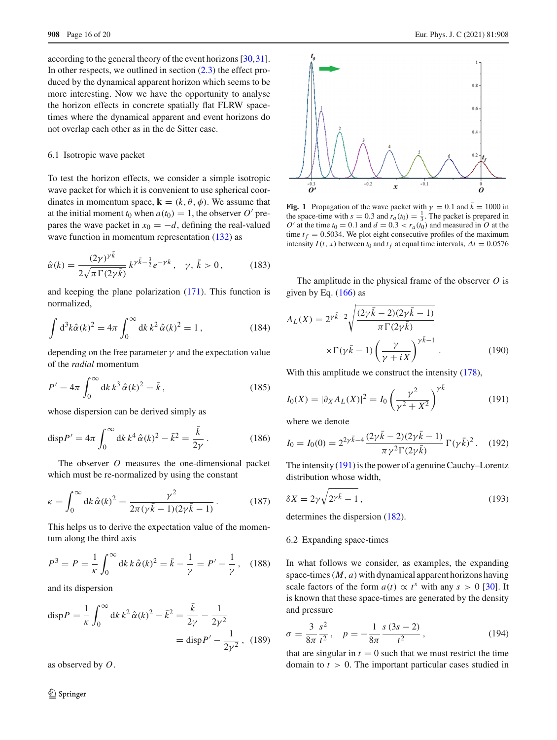according to the general theory of the event horizons [\[30](#page-19-13)[,31](#page-19-14)]. In other respects, we outlined in section  $(2.3)$  the effect produced by the dynamical apparent horizon which seems to be more interesting. Now we have the opportunity to analyse the horizon effects in concrete spatially flat FLRW spacetimes where the dynamical apparent and event horizons do not overlap each other as in the de Sitter case.

## 6.1 Isotropic wave packet

To test the horizon effects, we consider a simple isotropic wave packet for which it is convenient to use spherical coordinates in momentum space,  $\mathbf{k} = (k, \theta, \phi)$ . We assume that at the initial moment  $t_0$  when  $a(t_0) = 1$ , the observer  $O'$  prepares the wave packet in  $x_0 = -d$ , defining the real-valued wave function in momentum representation  $(132)$  as

$$
\hat{\alpha}(k) = \frac{(2\gamma)^{\gamma \bar{k}}}{2\sqrt{\pi \Gamma(2\gamma \bar{k})}} k^{\gamma \bar{k} - \frac{3}{2}} e^{-\gamma k}, \quad \gamma, \bar{k} > 0,
$$
\n(183)

and keeping the plane polarization [\(171\)](#page-14-2). This function is normalized,

$$
\int d^3k \hat{\alpha}(k)^2 = 4\pi \int_0^\infty dk \, k^2 \hat{\alpha}(k)^2 = 1 \,, \tag{184}
$$

depending on the free parameter  $\gamma$  and the expectation value of the *radial* momentum

$$
P' = 4\pi \int_0^\infty dk \, k^3 \, \hat{\alpha}(k)^2 = \bar{k} \,, \tag{185}
$$

whose dispersion can be derived simply as

$$
dispP' = 4\pi \int_0^\infty dk \, k^4 \, \hat{\alpha}(k)^2 - \bar{k}^2 = \frac{\bar{k}}{2\gamma} \,. \tag{186}
$$

The observer *O* measures the one-dimensional packet which must be re-normalized by using the constant

$$
\kappa = \int_0^\infty \mathrm{d}k \,\hat{\alpha}(k)^2 = \frac{\gamma^2}{2\pi(\gamma \bar{k} - 1)(2\gamma \bar{k} - 1)}.
$$
 (187)

This helps us to derive the expectation value of the momentum along the third axis

$$
P^{3} = P = \frac{1}{\kappa} \int_{0}^{\infty} dk \, k \, \hat{\alpha}(k)^{2} = \bar{k} - \frac{1}{\gamma} = P' - \frac{1}{\gamma}, \quad (188)
$$

and its dispersion

$$
\text{disp}\,P = \frac{1}{\kappa} \int_0^\infty \mathrm{d}k \, k^2 \, \hat{\alpha}(k)^2 - \bar{k}^2 = \frac{\bar{k}}{2\gamma} - \frac{1}{2\gamma^2} \\
= \text{disp}\,P' - \frac{1}{2\gamma^2} \,, \tag{189}
$$

as observed by *O*.



<span id="page-15-2"></span>**Fig. 1** Propagation of the wave packet with  $\gamma = 0.1$  and  $\bar{k} = 1000$  in the space-time with  $s = 0.3$  and  $r_a(t_0) = \frac{1}{3}$ . The packet is prepared in *O*' at the time  $t_0 = 0.1$  and  $d = 0.3 < r_a(t_0)$  and measured in *O* at the time  $t_f = 0.5034$ . We plot eight consecutive profiles of the maximum intensity  $I(t, x)$  between  $t_0$  and  $t_f$  at equal time intervals,  $\Delta t = 0.0576$ 

The amplitude in the physical frame of the observer *O* is given by Eq.  $(166)$  as

$$
A_L(X) = 2^{\gamma \bar{k}-2} \sqrt{\frac{(2\gamma \bar{k} - 2)(2\gamma \bar{k} - 1)}{\pi \Gamma(2\gamma \bar{k})}}
$$

$$
\times \Gamma(\gamma \bar{k} - 1) \left(\frac{\gamma}{\gamma + iX}\right)^{\gamma \bar{k} - 1}.
$$
(190)

With this amplitude we construct the intensity  $(178)$ ,

<span id="page-15-0"></span>
$$
I_0(X) = |\partial_X A_L(X)|^2 = I_0 \left(\frac{\gamma^2}{\gamma^2 + X^2}\right)^{\gamma k}
$$
 (191)

where we denote

$$
I_0 = I_0(0) = 2^{2\gamma \bar{k} - 4} \frac{(2\gamma \bar{k} - 2)(2\gamma \bar{k} - 1)}{\pi \gamma^2 \Gamma(2\gamma \bar{k})} \Gamma(\gamma \bar{k})^2.
$$
 (192)

The intensity [\(191\)](#page-15-0) is the power of a genuine Cauchy–Lorentz distribution whose width,

$$
\delta X = 2\gamma \sqrt{2^{\gamma \bar{k}} - 1},\tag{193}
$$

determines the dispersion [\(182\)](#page-14-4).

# 6.2 Expanding space-times

In what follows we consider, as examples, the expanding space-times(*M*, *a*) with dynamical apparent horizons having scale factors of the form  $a(t) \propto t^s$  with any  $s > 0$  [\[30](#page-19-13)]. It is known that these space-times are generated by the density and pressure

<span id="page-15-1"></span>
$$
\sigma = \frac{3}{8\pi} \frac{s^2}{t^2}, \quad p = -\frac{1}{8\pi} \frac{s(3s - 2)}{t^2}, \tag{194}
$$

that are singular in  $t = 0$  such that we must restrict the time domain to *t* > 0. The important particular cases studied in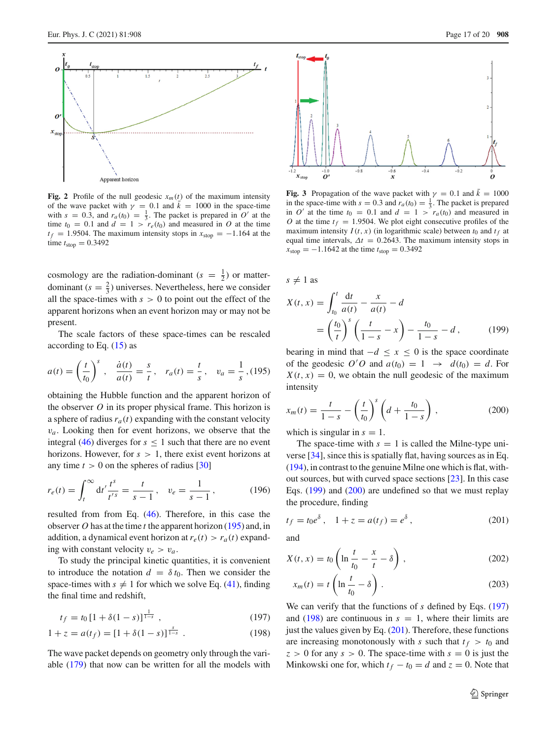

<span id="page-16-5"></span>**Fig. 2** Profile of the null geodesic  $x_m(t)$  of the maximum intensity of the wave packet with  $\gamma = 0.1$  and  $\bar{k} = 1000$  in the space-time with  $s = 0.3$ , and  $r_a(t_0) = \frac{1}{3}$ . The packet is prepared in *O'* at the time  $t_0 = 0.1$  and  $d = 1 > r_e(t_0)$  and measured in O at the time  $t_f = 1.9504$ . The maximum intensity stops in  $x_{stop} = -1.164$  at the time  $t_{\text{stop}} = 0.3492$ 

cosmology are the radiation-dominant  $(s = \frac{1}{2})$  or matterdominant  $(s = \frac{2}{3})$  universes. Nevertheless, here we consider all the space-times with  $s > 0$  to point out the effect of the apparent horizons when an event horizon may or may not be present.

The scale factors of these space-times can be rescaled according to Eq.  $(15)$  as

<span id="page-16-0"></span>
$$
a(t) = \left(\frac{t}{t_0}\right)^s, \quad \frac{\dot{a}(t)}{a(t)} = \frac{s}{t}, \quad r_a(t) = \frac{t}{s}, \quad v_a = \frac{1}{s}, (195)
$$

obtaining the Hubble function and the apparent horizon of the observer *O* in its proper physical frame. This horizon is a sphere of radius  $r_a(t)$  expanding with the constant velocity  $v_a$ . Looking then for event horizons, we observe that the integral [\(46\)](#page-5-6) diverges for  $s \le 1$  such that there are no event horizons. However, for  $s > 1$ , there exist event horizons at any time  $t > 0$  on the spheres of radius [\[30\]](#page-19-13)

$$
r_e(t) = \int_t^{\infty} dt' \frac{t^s}{t'^s} = \frac{t}{s-1}, \quad v_e = \frac{1}{s-1}, \quad (196)
$$

resulted from from Eq. [\(46\)](#page-5-6). Therefore, in this case the observer *O* has at the time *t* the apparent horizon [\(195\)](#page-16-0) and, in addition, a dynamical event horizon at  $r_e(t) > r_a(t)$  expanding with constant velocity  $v_e > v_a$ .

To study the principal kinetic quantities, it is convenient to introduce the notation  $d = \delta t_0$ . Then we consider the space-times with  $s \neq 1$  for which we solve Eq. [\(41\)](#page-4-4), finding the final time and redshift,

<span id="page-16-3"></span>
$$
t_f = t_0 \left[ 1 + \delta(1 - s) \right]^{\frac{1}{1 - s}}, \tag{197}
$$

$$
1 + z = a(t_f) = [1 + \delta(1 - s)]^{\frac{s}{1 - s}}.
$$
 (198)

The wave packet depends on geometry only through the variable [\(179\)](#page-14-5) that now can be written for all the models with



<span id="page-16-6"></span>**Fig. 3** Propagation of the wave packet with  $\gamma = 0.1$  and  $\bar{k} = 1000$ in the space-time with  $s = 0.3$  and  $r_a(t_0) = \frac{1}{3}$ . The packet is prepared in *O'* at the time  $t_0 = 0.1$  and  $d = 1 > r_a(t_0)$  and measured in *O* at the time  $t_f = 1.9504$ . We plot eight consecutive profiles of the maximum intensity  $I(t, x)$  (in logarithmic scale) between  $t_0$  and  $t_f$  at equal time intervals,  $\Delta t = 0.2643$ . The maximum intensity stops in  $\hat{x}_{\text{stop}} = -1.1642$  at the time  $t_{\text{stop}} = 0.3492$ 

 $s \neq 1$  as

<span id="page-16-1"></span>
$$
X(t, x) = \int_{t_0}^{t} \frac{dt}{a(t)} - \frac{x}{a(t)} - d
$$
  
=  $\left(\frac{t_0}{t}\right)^s \left(\frac{t}{1-s} - x\right) - \frac{t_0}{1-s} - d,$  (199)

bearing in mind that  $-d \leq x \leq 0$  is the space coordinate of the geodesic  $O'O$  and  $a(t_0) = 1 \rightarrow d(t_0) = d$ . For  $X(t, x) = 0$ , we obtain the null geodesic of the maximum intensity

<span id="page-16-2"></span>
$$
x_m(t) = \frac{t}{1-s} - \left(\frac{t}{t_0}\right)^s \left(d + \frac{t_0}{1-s}\right),
$$
 (200)

which is singular in  $s = 1$ .

The space-time with  $s = 1$  is called the Milne-type universe [\[34](#page-19-17)], since this is spatially flat, having sources as in Eq. [\(194\)](#page-15-1), in contrast to the genuine Milne one which is flat, without sources, but with curved space sections [\[23\]](#page-19-6). In this case Eqs. [\(199\)](#page-16-1) and [\(200\)](#page-16-2) are undefined so that we must replay the procedure, finding

<span id="page-16-4"></span>
$$
t_f = t_0 e^{\delta}
$$
,  $1 + z = a(t_f) = e^{\delta}$ , (201)

and

$$
X(t, x) = t_0 \left( \ln \frac{t}{t_0} - \frac{x}{t} - \delta \right), \qquad (202)
$$

$$
x_m(t) = t \left( \ln \frac{t}{t_0} - \delta \right). \tag{203}
$$

We can verify that the functions of *s* defined by Eqs. [\(197\)](#page-16-3) and  $(198)$  are continuous in  $s = 1$ , where their limits are just the values given by Eq.  $(201)$ . Therefore, these functions are increasing monotonously with *s* such that  $t_f > t_0$  and  $z > 0$  for any  $s > 0$ . The space-time with  $s = 0$  is just the Minkowski one for, which  $t_f - t_0 = d$  and  $z = 0$ . Note that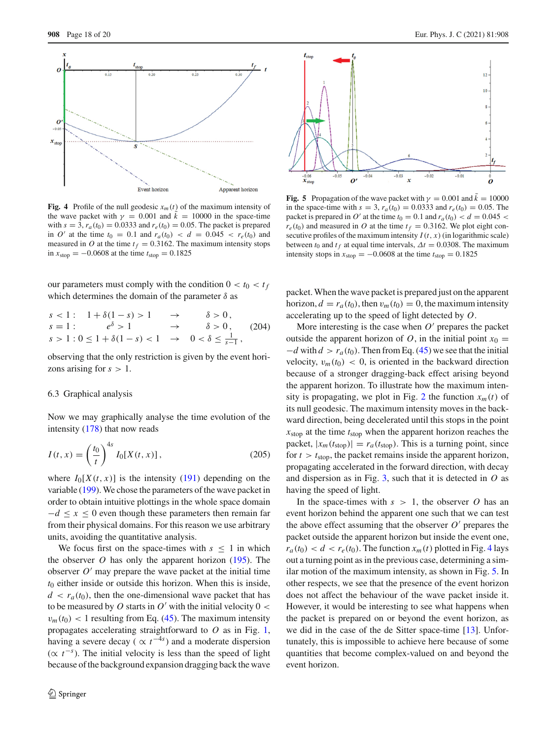

<span id="page-17-0"></span>**Fig. 4** Profile of the null geodesic  $x_m(t)$  of the maximum intensity of the wave packet with  $\gamma = 0.001$  and  $k = 10000$  in the space-time with  $s = 3$ ,  $r_a(t_0) = 0.0333$  and  $r_e(t_0) = 0.05$ . The packet is prepared in *O'* at the time  $t_0 = 0.1$  and  $r_a(t_0) < d = 0.045 < r_e(t_0)$  and measured in *O* at the time  $t_f = 0.3162$ . The maximum intensity stops in  $x_{\text{stop}} = -0.0608$  at the time  $t_{\text{stop}} = 0.1825$ 

our parameters must comply with the condition  $0 < t_0 < t_f$ which determines the domain of the parameter  $\delta$  as

$$
s < 1: \quad 1 + \delta(1 - s) > 1 \quad \to \quad \delta > 0,
$$
  
\n
$$
s = 1: \quad e^{\delta} > 1 \quad \to \quad \delta > 0,
$$
  
\n
$$
s > 1: 0 \le 1 + \delta(1 - s) < 1 \quad \to \quad 0 < \delta \le \frac{1}{s - 1},
$$
 (204)

observing that the only restriction is given by the event horizons arising for  $s > 1$ .

#### 6.3 Graphical analysis

Now we may graphically analyse the time evolution of the intensity [\(178\)](#page-14-3) that now reads

$$
I(t, x) = \left(\frac{t_0}{t}\right)^{4s} I_0[X(t, x)],
$$
\n(205)

where  $I_0[X(t, x)]$  is the intensity [\(191\)](#page-15-0) depending on the variable [\(199\)](#page-16-1). We chose the parameters of the wave packet in order to obtain intuitive plottings in the whole space domain  $-d \leq x \leq 0$  even though these parameters then remain far from their physical domains. For this reason we use arbitrary units, avoiding the quantitative analysis.

We focus first on the space-times with  $s \leq 1$  in which the observer *O* has only the apparent horizon [\(195\)](#page-16-0). The observer  $O'$  may prepare the wave packet at the initial time *t*<sup>0</sup> either inside or outside this horizon. When this is inside,  $d < r_a(t_0)$ , then the one-dimensional wave packet that has to be measured by *O* starts in  $O'$  with the initial velocity  $0 <$  $v_m(t_0)$  < 1 resulting from Eq. [\(45\)](#page-5-7). The maximum intensity propagates accelerating straightforward to *O* as in Fig. [1,](#page-15-2) having a severe decay ( $\propto t^{-4s}$ ) and a moderate dispersion  $(\propto t^{-s})$ . The initial velocity is less than the speed of light because of the background expansion dragging back the wave



<span id="page-17-1"></span>**Fig. 5** Propagation of the wave packet with  $\gamma = 0.001$  and  $\bar{k} = 10000$ in the space-time with  $s = 3$ ,  $r_a(t_0) = 0.0333$  and  $r_e(t_0) = 0.05$ . The packet is prepared in O' at the time  $t_0 = 0.1$  and  $r_a(t_0) < d = 0.045$  $r_e(t_0)$  and measured in *O* at the time  $t_f = 0.3162$ . We plot eight consecutive profiles of the maximum intensity  $I(t, x)$  (in logarithmic scale) between  $t_0$  and  $t_f$  at equal time intervals,  $\Delta t = 0.0308$ . The maximum intensity stops in  $x_{stop} = -0.0608$  at the time  $t_{stop} = 0.1825$ 

packet. When the wave packet is prepared just on the apparent horizon,  $d = r_a(t_0)$ , then  $v_m(t_0) = 0$ , the maximum intensity accelerating up to the speed of light detected by *O*.

More interesting is the case when  $O'$  prepares the packet outside the apparent horizon of *O*, in the initial point  $x_0 =$  $-d$  with  $d > r_a(t_0)$ . Then from Eq. [\(45\)](#page-5-7) we see that the initial velocity,  $v_m(t_0) < 0$ , is oriented in the backward direction because of a stronger dragging-back effect arising beyond the apparent horizon. To illustrate how the maximum inten-sity is propagating, we plot in Fig. [2](#page-16-5) the function  $x_m(t)$  of its null geodesic. The maximum intensity moves in the backward direction, being decelerated until this stops in the point *x*stop at the time *t*stop when the apparent horizon reaches the packet,  $|x_m(t_{stop})| = r_a(t_{stop})$ . This is a turning point, since for  $t > t_{\text{stop}}$ , the packet remains inside the apparent horizon, propagating accelerated in the forward direction, with decay and dispersion as in Fig. [3,](#page-16-6) such that it is detected in *O* as having the speed of light.

In the space-times with  $s > 1$ , the observer O has an event horizon behind the apparent one such that we can test the above effect assuming that the observer  $O'$  prepares the packet outside the apparent horizon but inside the event one,  $r_a(t_0) < d < r_e(t_0)$ . The function  $x_m(t)$  plotted in Fig. [4](#page-17-0) lays out a turning point as in the previous case, determining a similar motion of the maximum intensity, as shown in Fig. [5.](#page-17-1) In other respects, we see that the presence of the event horizon does not affect the behaviour of the wave packet inside it. However, it would be interesting to see what happens when the packet is prepared on or beyond the event horizon, as we did in the case of the de Sitter space-time [\[13](#page-18-9)]. Unfortunately, this is impossible to achieve here because of some quantities that become complex-valued on and beyond the event horizon.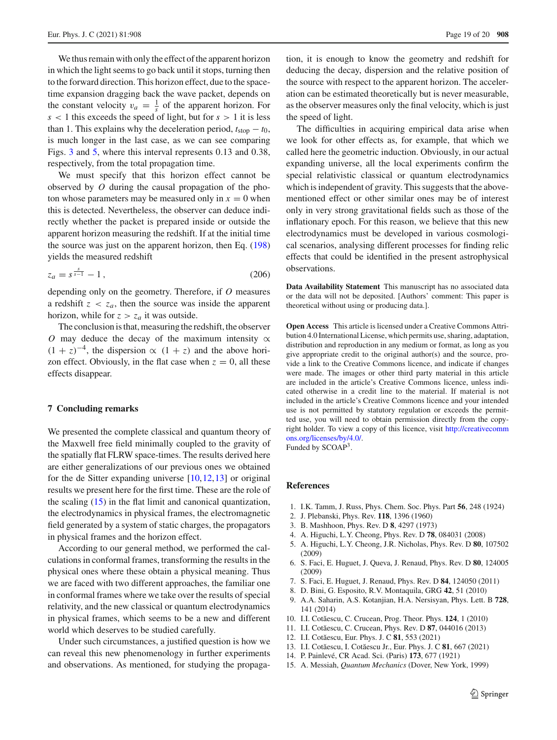We thus remain with only the effect of the apparent horizon in which the light seems to go back until it stops, turning then to the forward direction. This horizon effect, due to the spacetime expansion dragging back the wave packet, depends on the constant velocity  $v_a = \frac{1}{s}$  of the apparent horizon. For *s* < 1 this exceeds the speed of light, but for *s* > 1 it is less than 1. This explains why the deceleration period,  $t_{\text{stop}} - t_0$ , is much longer in the last case, as we can see comparing Figs. [3](#page-16-6) and [5,](#page-17-1) where this interval represents 0.13 and 0.38, respectively, from the total propagation time.

We must specify that this horizon effect cannot be observed by *O* during the causal propagation of the photon whose parameters may be measured only in  $x = 0$  when this is detected. Nevertheless, the observer can deduce indirectly whether the packet is prepared inside or outside the apparent horizon measuring the redshift. If at the initial time the source was just on the apparent horizon, then Eq. [\(198\)](#page-16-3) yields the measured redshift

$$
z_a = s^{\frac{s}{s-1}} - 1\,,\tag{206}
$$

depending only on the geometry. Therefore, if *O* measures a redshift  $z < z_a$ , then the source was inside the apparent horizon, while for  $z > z_a$  it was outside.

The conclusion is that, measuring the redshift, the observer *O* may deduce the decay of the maximum intensity  $\alpha$  $(1 + z)^{-4}$ , the dispersion  $\propto (1 + z)$  and the above horizon effect. Obviously, in the flat case when  $z = 0$ , all these effects disappear.

# **7 Concluding remarks**

We presented the complete classical and quantum theory of the Maxwell free field minimally coupled to the gravity of the spatially flat FLRW space-times. The results derived here are either generalizations of our previous ones we obtained for the de Sitter expanding universe [\[10,](#page-18-6)[12,](#page-18-8)[13\]](#page-18-9) or original results we present here for the first time. These are the role of the scaling [\(15\)](#page-3-4) in the flat limit and canonical quantization, the electrodynamics in physical frames, the electromagnetic field generated by a system of static charges, the propagators in physical frames and the horizon effect.

According to our general method, we performed the calculations in conformal frames, transforming the results in the physical ones where these obtain a physical meaning. Thus we are faced with two different approaches, the familiar one in conformal frames where we take over the results of special relativity, and the new classical or quantum electrodynamics in physical frames, which seems to be a new and different world which deserves to be studied carefully.

Under such circumstances, a justified question is how we can reveal this new phenomenology in further experiments and observations. As mentioned, for studying the propaga-

tion, it is enough to know the geometry and redshift for deducing the decay, dispersion and the relative position of the source with respect to the apparent horizon. The acceleration can be estimated theoretically but is never measurable, as the observer measures only the final velocity, which is just the speed of light.

The difficulties in acquiring empirical data arise when we look for other effects as, for example, that which we called here the geometric induction. Obviously, in our actual expanding universe, all the local experiments confirm the special relativistic classical or quantum electrodynamics which is independent of gravity. This suggests that the abovementioned effect or other similar ones may be of interest only in very strong gravitational fields such as those of the inflationary epoch. For this reason, we believe that this new electrodynamics must be developed in various cosmological scenarios, analysing different processes for finding relic effects that could be identified in the present astrophysical observations.

**Data Availability Statement** This manuscript has no associated data or the data will not be deposited. [Authors' comment: This paper is theoretical without using or producing data.].

**Open Access** This article is licensed under a Creative Commons Attribution 4.0 International License, which permits use, sharing, adaptation, distribution and reproduction in any medium or format, as long as you give appropriate credit to the original author(s) and the source, provide a link to the Creative Commons licence, and indicate if changes were made. The images or other third party material in this article are included in the article's Creative Commons licence, unless indicated otherwise in a credit line to the material. If material is not included in the article's Creative Commons licence and your intended use is not permitted by statutory regulation or exceeds the permitted use, you will need to obtain permission directly from the copyright holder. To view a copy of this licence, visit [http://creativecomm](http://creativecommons.org/licenses/by/4.0/) [ons.org/licenses/by/4.0/.](http://creativecommons.org/licenses/by/4.0/)

Funded by SCOAP3.

## **References**

- <span id="page-18-0"></span>1. I.K. Tamm, J. Russ, Phys. Chem. Soc. Phys. Part **56**, 248 (1924)
- <span id="page-18-1"></span>2. J. Plebanski, Phys. Rev. **118**, 1396 (1960)
- <span id="page-18-2"></span>3. B. Mashhoon, Phys. Rev. D **8**, 4297 (1973)
- <span id="page-18-3"></span>4. A. Higuchi, L.Y. Cheong, Phys. Rev. D **78**, 084031 (2008)
- 5. A. Higuchi, L.Y. Cheong, J.R. Nicholas, Phys. Rev. D **80**, 107502 (2009)
- 6. S. Faci, E. Huguet, J. Queva, J. Renaud, Phys. Rev. D **80**, 124005 (2009)
- 7. S. Faci, E. Huguet, J. Renaud, Phys. Rev. D **84**, 124050 (2011)
- <span id="page-18-4"></span>8. D. Bini, G. Esposito, R.V. Montaquila, GRG **42**, 51 (2010)
- <span id="page-18-5"></span>9. A.A. Saharin, A.S. Kotanjian, H.A. Nersisyan, Phys. Lett. B **728**, 141 (2014)
- <span id="page-18-6"></span>10. I.I. Cot˘aescu, C. Crucean, Prog. Theor. Phys. **124**, 1 (2010)
- <span id="page-18-7"></span>11. I.I. Cot˘aescu, C. Crucean, Phys. Rev. D **87**, 044016 (2013)
- <span id="page-18-8"></span>12. I.I. Cotăescu, Eur. Phys. J. C **81**, 553 (2021)
- <span id="page-18-9"></span>13. I.I. Cotăescu, I. Cotăescu Jr., Eur. Phys. J. C **81**, 667 (2021)
- <span id="page-18-10"></span>14. P. Painlevé, CR Acad. Sci. (Paris) **173**, 677 (1921)
- <span id="page-18-11"></span>15. A. Messiah, *Quantum Mechanics* (Dover, New York, 1999)